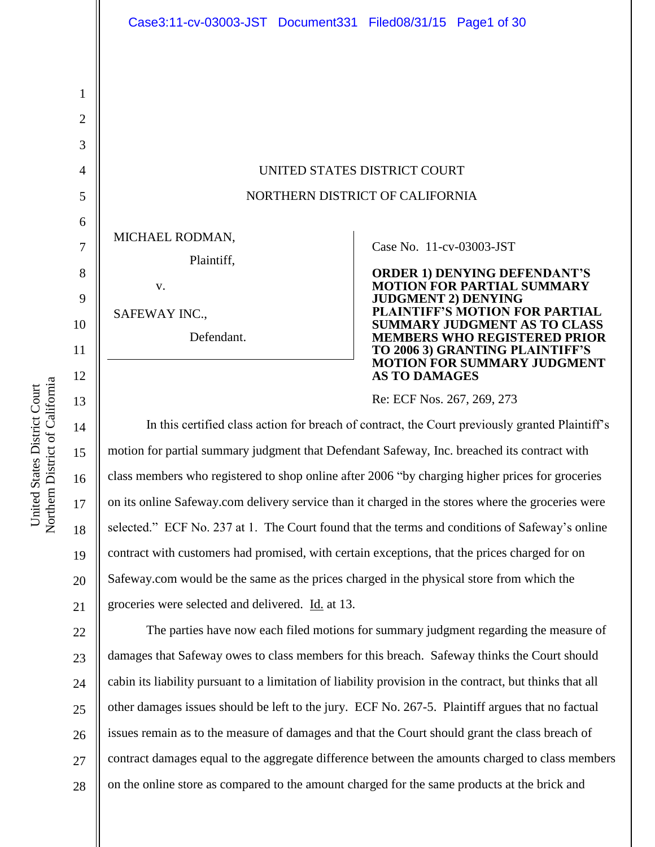UNITED STATES DISTRICT COURT NORTHERN DISTRICT OF CALIFORNIA

MICHAEL RODMAN,

Plaintiff,

SAFEWAY INC.,

v.

Defendant.

### Case No. 11-cv-03003-JST

**ORDER 1) DENYING DEFENDANT'S MOTION FOR PARTIAL SUMMARY JUDGMENT 2) DENYING PLAINTIFF'S MOTION FOR PARTIAL SUMMARY JUDGMENT AS TO CLASS MEMBERS WHO REGISTERED PRIOR TO 2006 3) GRANTING PLAINTIFF'S MOTION FOR SUMMARY JUDGMENT AS TO DAMAGES** 

Re: ECF Nos. 267, 269, 273

In this certified class action for breach of contract, the Court previously granted Plaintiff's motion for partial summary judgment that Defendant Safeway, Inc. breached its contract with class members who registered to shop online after 2006 "by charging higher prices for groceries on its online Safeway.com delivery service than it charged in the stores where the groceries were selected." ECF No. 237 at 1. The Court found that the terms and conditions of Safeway's online contract with customers had promised, with certain exceptions, that the prices charged for on Safeway.com would be the same as the prices charged in the physical store from which the groceries were selected and delivered. Id. at 13.

22 23 24 25 26 27 28 The parties have now each filed motions for summary judgment regarding the measure of damages that Safeway owes to class members for this breach. Safeway thinks the Court should cabin its liability pursuant to a limitation of liability provision in the contract, but thinks that all other damages issues should be left to the jury. ECF No. 267-5. Plaintiff argues that no factual issues remain as to the measure of damages and that the Court should grant the class breach of contract damages equal to the aggregate difference between the amounts charged to class members on the online store as compared to the amount charged for the same products at the brick and

1

2

3

4

5

6

7

8

9

10

11

12

13

14

15

16

17

18

19

20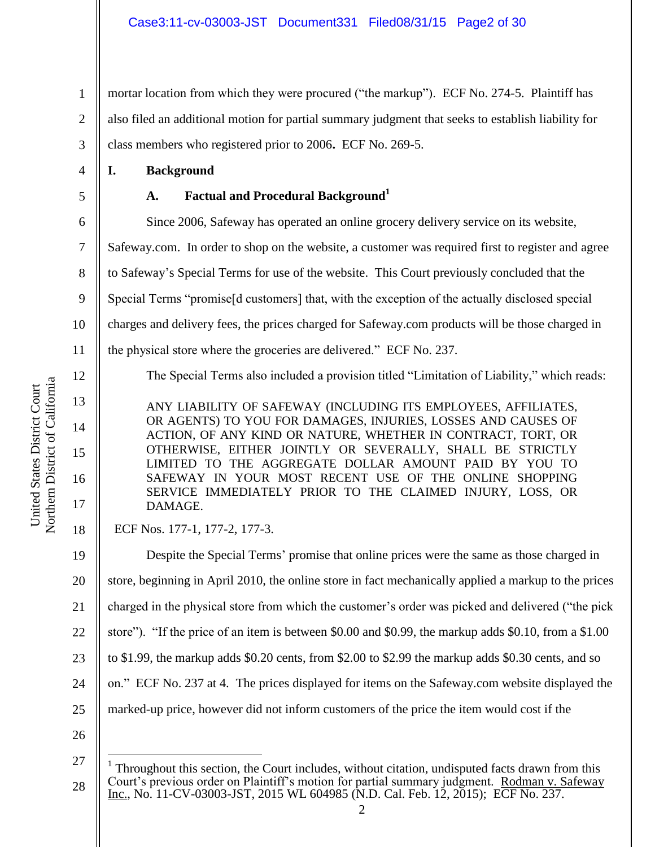1 2 3 mortar location from which they were procured ("the markup"). ECF No. 274-5. Plaintiff has also filed an additional motion for partial summary judgment that seeks to establish liability for class members who registered prior to 2006**.** ECF No. 269-5.

**I. Background**

4

5

**A. Factual and Procedural Background<sup>1</sup>**

6 7 8 9 10 11 12 13 14 15 Since 2006, Safeway has operated an online grocery delivery service on its website, Safeway.com. In order to shop on the website, a customer was required first to register and agree to Safeway's Special Terms for use of the website. This Court previously concluded that the Special Terms "promise[d customers] that, with the exception of the actually disclosed special charges and delivery fees, the prices charged for Safeway.com products will be those charged in the physical store where the groceries are delivered." ECF No. 237. The Special Terms also included a provision titled "Limitation of Liability," which reads: ANY LIABILITY OF SAFEWAY (INCLUDING ITS EMPLOYEES, AFFILIATES, OR AGENTS) TO YOU FOR DAMAGES, INJURIES, LOSSES AND CAUSES OF ACTION, OF ANY KIND OR NATURE, WHETHER IN CONTRACT, TORT, OR OTHERWISE, EITHER JOINTLY OR SEVERALLY, SHALL BE STRICTLY

LIMITED TO THE AGGREGATE DOLLAR AMOUNT PAID BY YOU TO SAFEWAY IN YOUR MOST RECENT USE OF THE ONLINE SHOPPING SERVICE IMMEDIATELY PRIOR TO THE CLAIMED INJURY, LOSS, OR DAMAGE.

ECF Nos. 177-1, 177-2, 177-3.

19 20 21 22 23 24 25 26 Despite the Special Terms' promise that online prices were the same as those charged in store, beginning in April 2010, the online store in fact mechanically applied a markup to the prices charged in the physical store from which the customer's order was picked and delivered ("the pick store"). "If the price of an item is between \$0.00 and \$0.99, the markup adds \$0.10, from a \$1.00 to \$1.99, the markup adds \$0.20 cents, from \$2.00 to \$2.99 the markup adds \$0.30 cents, and so on." ECF No. 237 at 4. The prices displayed for items on the Safeway.com website displayed the marked-up price, however did not inform customers of the price the item would cost if the

 $\overline{a}$ 

16

17

<sup>27</sup>

<sup>28</sup>  $1$  Throughout this section, the Court includes, without citation, undisputed facts drawn from this Court's previous order on Plaintiff's motion for partial summary judgment. Rodman v. Safeway Inc., No. 11-CV-03003-JST, 2015 WL 604985 (N.D. Cal. Feb. 12, 2015); ECF No. 237.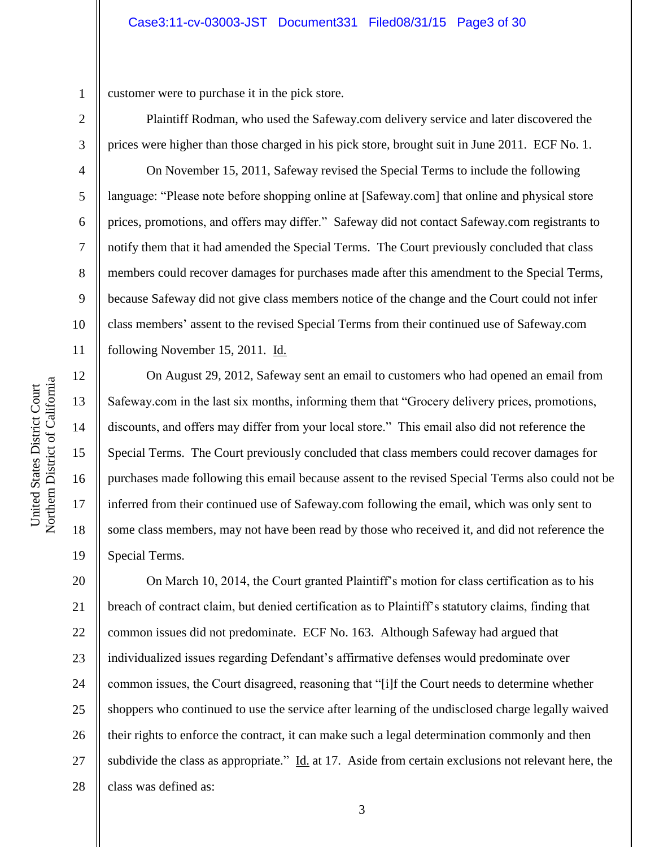1 customer were to purchase it in the pick store.

Plaintiff Rodman, who used the Safeway.com delivery service and later discovered the prices were higher than those charged in his pick store, brought suit in June 2011. ECF No. 1.

On November 15, 2011, Safeway revised the Special Terms to include the following language: "Please note before shopping online at [Safeway.com] that online and physical store prices, promotions, and offers may differ." Safeway did not contact Safeway.com registrants to notify them that it had amended the Special Terms. The Court previously concluded that class members could recover damages for purchases made after this amendment to the Special Terms, because Safeway did not give class members notice of the change and the Court could not infer class members' assent to the revised Special Terms from their continued use of Safeway.com following November 15, 2011. Id.

On August 29, 2012, Safeway sent an email to customers who had opened an email from Safeway.com in the last six months, informing them that "Grocery delivery prices, promotions, discounts, and offers may differ from your local store." This email also did not reference the Special Terms. The Court previously concluded that class members could recover damages for purchases made following this email because assent to the revised Special Terms also could not be inferred from their continued use of Safeway.com following the email, which was only sent to some class members, may not have been read by those who received it, and did not reference the Special Terms.

20 21 22 23 24 25 26 27 28 On March 10, 2014, the Court granted Plaintiff's motion for class certification as to his breach of contract claim, but denied certification as to Plaintiff's statutory claims, finding that common issues did not predominate. ECF No. 163. Although Safeway had argued that individualized issues regarding Defendant's affirmative defenses would predominate over common issues, the Court disagreed, reasoning that "[i]f the Court needs to determine whether shoppers who continued to use the service after learning of the undisclosed charge legally waived their rights to enforce the contract, it can make such a legal determination commonly and then subdivide the class as appropriate." Id. at 17. Aside from certain exclusions not relevant here, the class was defined as:

2

3

4

5

6

7

8

9

10

11

12

13

14

15

16

17

18

19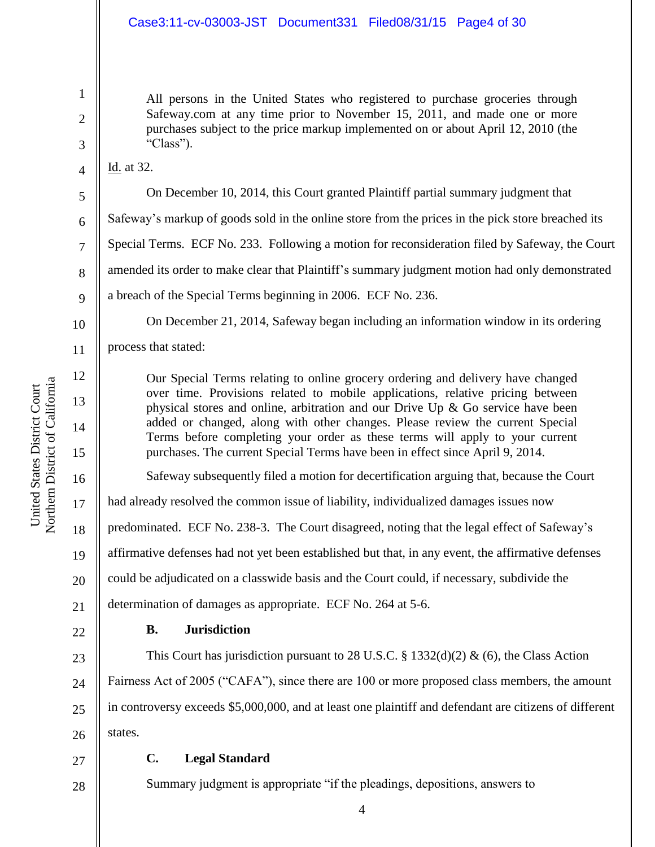All persons in the United States who registered to purchase groceries through Safeway.com at any time prior to November 15, 2011, and made one or more purchases subject to the price markup implemented on or about April 12, 2010 (the "Class").

Id. at 32.

1

2

3

4

5

6

7

8

9

10

11

12

13

14

15

16

On December 10, 2014, this Court granted Plaintiff partial summary judgment that

Safeway's markup of goods sold in the online store from the prices in the pick store breached its

Special Terms. ECF No. 233. Following a motion for reconsideration filed by Safeway, the Court

amended its order to make clear that Plaintiff's summary judgment motion had only demonstrated

a breach of the Special Terms beginning in 2006. ECF No. 236.

On December 21, 2014, Safeway began including an information window in its ordering process that stated:

Our Special Terms relating to online grocery ordering and delivery have changed over time. Provisions related to mobile applications, relative pricing between physical stores and online, arbitration and our Drive Up & Go service have been added or changed, along with other changes. Please review the current Special Terms before completing your order as these terms will apply to your current purchases. The current Special Terms have been in effect since April 9, 2014.

Safeway subsequently filed a motion for decertification arguing that, because the Court

17 had already resolved the common issue of liability, individualized damages issues now

18 predominated. ECF No. 238-3. The Court disagreed, noting that the legal effect of Safeway's

19 affirmative defenses had not yet been established but that, in any event, the affirmative defenses

20 could be adjudicated on a classwide basis and the Court could, if necessary, subdivide the

21 determination of damages as appropriate. ECF No. 264 at 5-6.

22

28

# **B. Jurisdiction**

23 24 25 26 This Court has jurisdiction pursuant to 28 U.S.C. § 1332(d)(2) & (6), the Class Action Fairness Act of 2005 ("CAFA"), since there are 100 or more proposed class members, the amount in controversy exceeds \$5,000,000, and at least one plaintiff and defendant are citizens of different states.

#### 27 **C. Legal Standard**

Summary judgment is appropriate "if the pleadings, depositions, answers to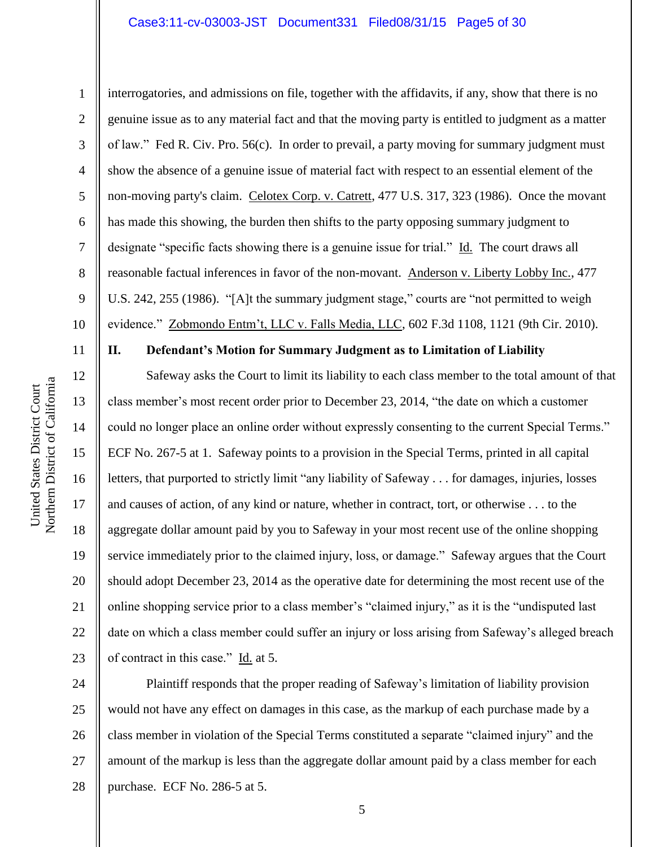### Case3:11-cv-03003-JST Document331 Filed08/31/15 Page5 of 30

interrogatories, and admissions on file, together with the affidavits, if any, show that there is no

genuine issue as to any material fact and that the moving party is entitled to judgment as a matter

of law." Fed R. Civ. Pro. 56(c). In order to prevail, a party moving for summary judgment must

non-moving party's claim. Celotex Corp. v. Catrett, 477 U.S. 317, 323 (1986). Once the movant

show the absence of a genuine issue of material fact with respect to an essential element of the

has made this showing, the burden then shifts to the party opposing summary judgment to

designate "specific facts showing there is a genuine issue for trial." Id. The court draws all

reasonable factual inferences in favor of the non-movant. Anderson v. Liberty Lobby Inc., 477

U.S. 242, 255 (1986). "[A]t the summary judgment stage," courts are "not permitted to weigh

evidence." Zobmondo Entm't, LLC v. Falls Media, LLC, 602 F.3d 1108, 1121 (9th Cir. 2010).

1

2

3

4

5

6

7

8

9

11

12

13

14

15

16

17

18

19

20

21

22

23

10

# **II. Defendant's Motion for Summary Judgment as to Limitation of Liability**

Safeway asks the Court to limit its liability to each class member to the total amount of that class member's most recent order prior to December 23, 2014, "the date on which a customer could no longer place an online order without expressly consenting to the current Special Terms." ECF No. 267-5 at 1. Safeway points to a provision in the Special Terms, printed in all capital letters, that purported to strictly limit "any liability of Safeway . . . for damages, injuries, losses and causes of action, of any kind or nature, whether in contract, tort, or otherwise . . . to the aggregate dollar amount paid by you to Safeway in your most recent use of the online shopping service immediately prior to the claimed injury, loss, or damage." Safeway argues that the Court should adopt December 23, 2014 as the operative date for determining the most recent use of the online shopping service prior to a class member's "claimed injury," as it is the "undisputed last date on which a class member could suffer an injury or loss arising from Safeway's alleged breach of contract in this case." Id. at 5.

24 25 26 27 28 Plaintiff responds that the proper reading of Safeway's limitation of liability provision would not have any effect on damages in this case, as the markup of each purchase made by a class member in violation of the Special Terms constituted a separate "claimed injury" and the amount of the markup is less than the aggregate dollar amount paid by a class member for each purchase. ECF No. 286-5 at 5.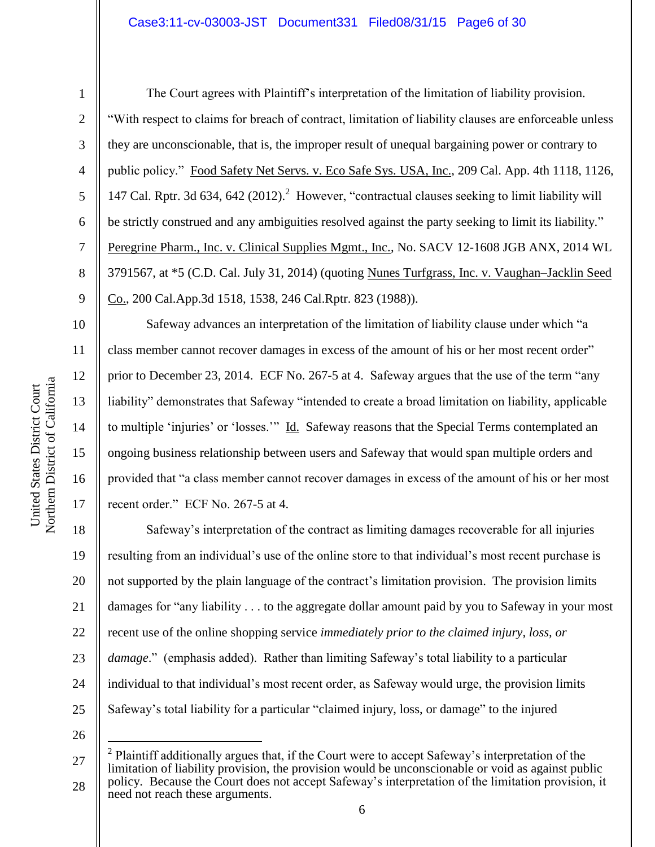### Case3:11-cv-03003-JST Document331 Filed08/31/15 Page6 of 30

1

2

3

4

5

6

7

8

9

10

11

12

13

14

15

16

17

The Court agrees with Plaintiff's interpretation of the limitation of liability provision. "With respect to claims for breach of contract, limitation of liability clauses are enforceable unless they are unconscionable, that is, the improper result of unequal bargaining power or contrary to public policy." Food Safety Net Servs. v. Eco Safe Sys. USA, Inc., 209 Cal. App. 4th 1118, 1126, 147 Cal. Rptr. 3d 634, 642 (2012). 2 However, "contractual clauses seeking to limit liability will be strictly construed and any ambiguities resolved against the party seeking to limit its liability." Peregrine Pharm., Inc. v. Clinical Supplies Mgmt., Inc., No. SACV 12-1608 JGB ANX, 2014 WL 3791567, at \*5 (C.D. Cal. July 31, 2014) (quoting Nunes Turfgrass, Inc. v. Vaughan–Jacklin Seed Co., 200 Cal.App.3d 1518, 1538, 246 Cal.Rptr. 823 (1988)).

Safeway advances an interpretation of the limitation of liability clause under which "a class member cannot recover damages in excess of the amount of his or her most recent order" prior to December 23, 2014. ECF No. 267-5 at 4. Safeway argues that the use of the term "any liability" demonstrates that Safeway "intended to create a broad limitation on liability, applicable to multiple 'injuries' or 'losses.'" Id. Safeway reasons that the Special Terms contemplated an ongoing business relationship between users and Safeway that would span multiple orders and provided that "a class member cannot recover damages in excess of the amount of his or her most recent order." ECF No. 267-5 at 4.

18 19 20 21 22 23 24 25 Safeway's interpretation of the contract as limiting damages recoverable for all injuries resulting from an individual's use of the online store to that individual's most recent purchase is not supported by the plain language of the contract's limitation provision. The provision limits damages for "any liability . . . to the aggregate dollar amount paid by you to Safeway in your most recent use of the online shopping service *immediately prior to the claimed injury, loss, or damage*." (emphasis added). Rather than limiting Safeway's total liability to a particular individual to that individual's most recent order, as Safeway would urge, the provision limits Safeway's total liability for a particular "claimed injury, loss, or damage" to the injured

26

 $\overline{a}$ 

<sup>27</sup> 28  $2$  Plaintiff additionally argues that, if the Court were to accept Safeway's interpretation of the limitation of liability provision, the provision would be unconscionable or void as against public policy. Because the Court does not accept Safeway's interpretation of the limitation provision, it need not reach these arguments.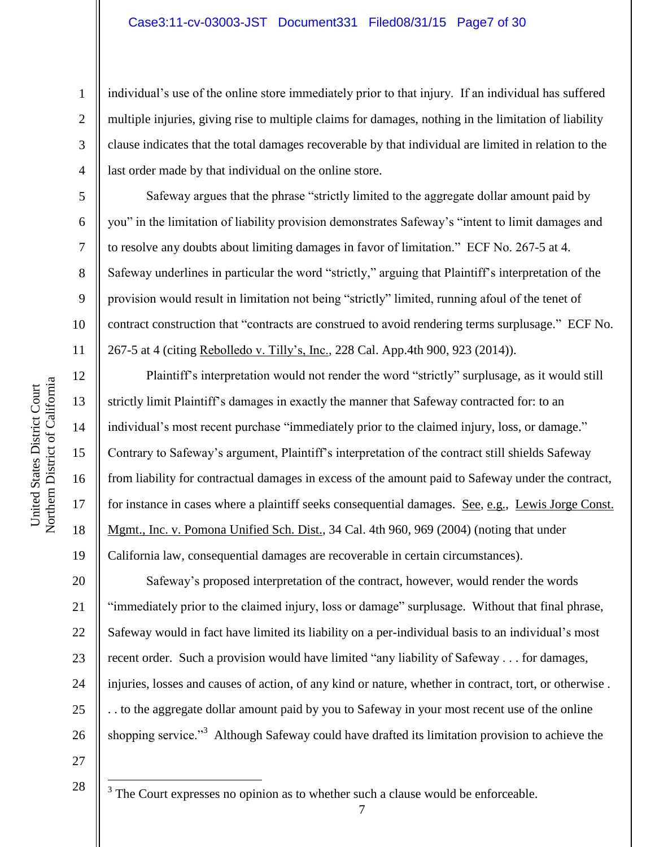## Case3:11-cv-03003-JST Document331 Filed08/31/15 Page7 of 30

individual's use of the online store immediately prior to that injury. If an individual has suffered multiple injuries, giving rise to multiple claims for damages, nothing in the limitation of liability clause indicates that the total damages recoverable by that individual are limited in relation to the last order made by that individual on the online store.

Safeway argues that the phrase "strictly limited to the aggregate dollar amount paid by you" in the limitation of liability provision demonstrates Safeway's "intent to limit damages and to resolve any doubts about limiting damages in favor of limitation." ECF No. 267-5 at 4. Safeway underlines in particular the word "strictly," arguing that Plaintiff's interpretation of the provision would result in limitation not being "strictly" limited, running afoul of the tenet of contract construction that "contracts are construed to avoid rendering terms surplusage." ECF No. 267-5 at 4 (citing Rebolledo v. Tilly's, Inc., 228 Cal. App.4th 900, 923 (2014)).

Plaintiff's interpretation would not render the word "strictly" surplusage, as it would still strictly limit Plaintiff's damages in exactly the manner that Safeway contracted for: to an individual's most recent purchase "immediately prior to the claimed injury, loss, or damage." Contrary to Safeway's argument, Plaintiff's interpretation of the contract still shields Safeway from liability for contractual damages in excess of the amount paid to Safeway under the contract, for instance in cases where a plaintiff seeks consequential damages. See, e.g., Lewis Jorge Const. Mgmt., Inc. v. Pomona Unified Sch. Dist., 34 Cal. 4th 960, 969 (2004) (noting that under California law, consequential damages are recoverable in certain circumstances).

Safeway's proposed interpretation of the contract, however, would render the words "immediately prior to the claimed injury, loss or damage" surplusage. Without that final phrase, Safeway would in fact have limited its liability on a per-individual basis to an individual's most recent order. Such a provision would have limited "any liability of Safeway . . . for damages, injuries, losses and causes of action, of any kind or nature, whether in contract, tort, or otherwise . . . to the aggregate dollar amount paid by you to Safeway in your most recent use of the online shopping service."<sup>3</sup> Although Safeway could have drafted its limitation provision to achieve the

7

27

28

 $\overline{a}$ 

 $3$  The Court expresses no opinion as to whether such a clause would be enforceable.

1

2

3

4

5

6

7

8

9

10

11

12

13

14

15

16

17

18

19

20

21

22

23

24

25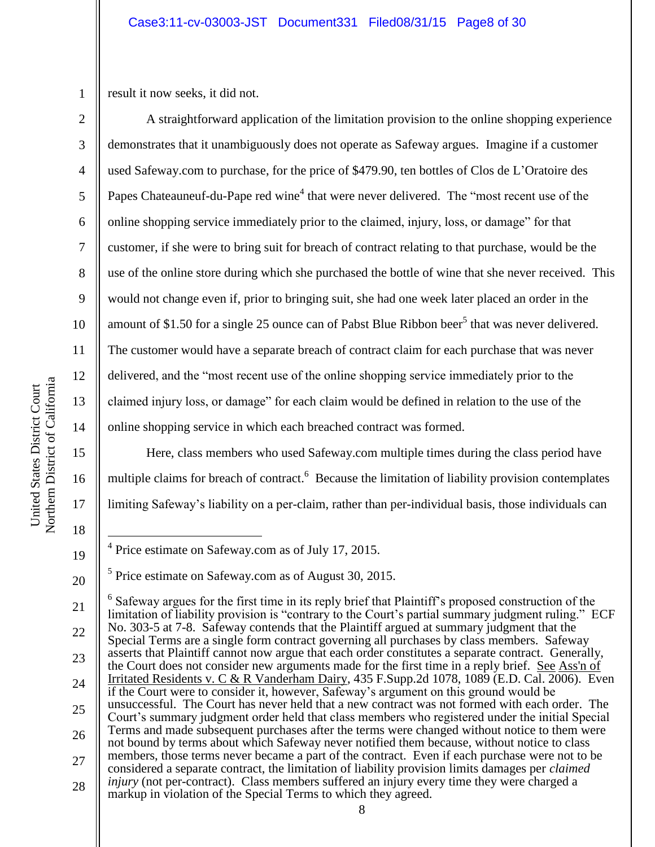1 result it now seeks, it did not.

2

3

4

5

6

7

8

9

10

11

12

13

14

15

16

17

18

19

20

A straightforward application of the limitation provision to the online shopping experience demonstrates that it unambiguously does not operate as Safeway argues. Imagine if a customer used Safeway.com to purchase, for the price of \$479.90, ten bottles of Clos de L'Oratoire des Papes Chateauneuf-du-Pape red wine<sup>4</sup> that were never delivered. The "most recent use of the online shopping service immediately prior to the claimed, injury, loss, or damage" for that customer, if she were to bring suit for breach of contract relating to that purchase, would be the use of the online store during which she purchased the bottle of wine that she never received. This would not change even if, prior to bringing suit, she had one week later placed an order in the amount of \$1.50 for a single 25 ounce can of Pabst Blue Ribbon beer<sup>5</sup> that was never delivered. The customer would have a separate breach of contract claim for each purchase that was never delivered, and the "most recent use of the online shopping service immediately prior to the claimed injury loss, or damage" for each claim would be defined in relation to the use of the online shopping service in which each breached contract was formed.

Here, class members who used Safeway.com multiple times during the class period have multiple claims for breach of contract.<sup>6</sup> Because the limitation of liability provision contemplates limiting Safeway's liability on a per-claim, rather than per-individual basis, those individuals can

 $\overline{a}$ <sup>4</sup> Price estimate on Safeway.com as of July 17, 2015.

<sup>&</sup>lt;sup>5</sup> Price estimate on Safeway.com as of August 30, 2015.

<sup>21</sup> 22 23 24 25 26 27 28  $6$  Safeway argues for the first time in its reply brief that Plaintiff's proposed construction of the limitation of liability provision is "contrary to the Court's partial summary judgment ruling." ECF No. 303-5 at 7-8. Safeway contends that the Plaintiff argued at summary judgment that the Special Terms are a single form contract governing all purchases by class members. Safeway asserts that Plaintiff cannot now argue that each order constitutes a separate contract. Generally, the Court does not consider new arguments made for the first time in a reply brief. See Ass'n of Irritated Residents v. C & R Vanderham Dairy, 435 F.Supp.2d 1078, 1089 (E.D. Cal. 2006). Even if the Court were to consider it, however, Safeway's argument on this ground would be unsuccessful. The Court has never held that a new contract was not formed with each order. The Court's summary judgment order held that class members who registered under the initial Special Terms and made subsequent purchases after the terms were changed without notice to them were not bound by terms about which Safeway never notified them because, without notice to class members, those terms never became a part of the contract. Even if each purchase were not to be considered a separate contract, the limitation of liability provision limits damages per *claimed injury* (not per-contract). Class members suffered an injury every time they were charged a markup in violation of the Special Terms to which they agreed.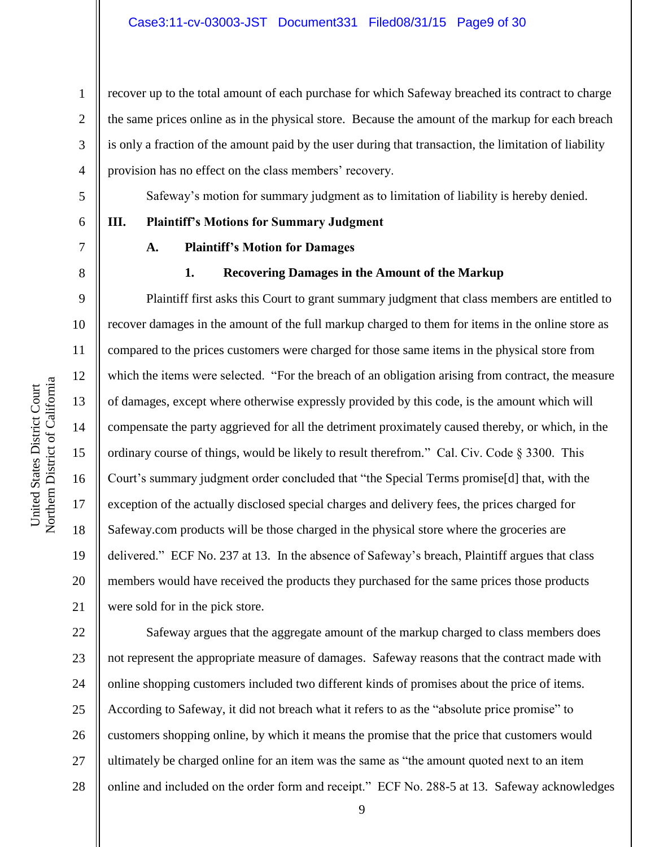recover up to the total amount of each purchase for which Safeway breached its contract to charge the same prices online as in the physical store. Because the amount of the markup for each breach is only a fraction of the amount paid by the user during that transaction, the limitation of liability provision has no effect on the class members' recovery.

Safeway's motion for summary judgment as to limitation of liability is hereby denied.

**III. Plaintiff's Motions for Summary Judgment**

1

2

3

4

5

6

7

8

9

10

11

12

13

14

15

16

17

18

19

20

21

### **A. Plaintiff's Motion for Damages**

### **1. Recovering Damages in the Amount of the Markup**

Plaintiff first asks this Court to grant summary judgment that class members are entitled to recover damages in the amount of the full markup charged to them for items in the online store as compared to the prices customers were charged for those same items in the physical store from which the items were selected. "For the breach of an obligation arising from contract, the measure of damages, except where otherwise expressly provided by this code, is the amount which will compensate the party aggrieved for all the detriment proximately caused thereby, or which, in the ordinary course of things, would be likely to result therefrom." Cal. Civ. Code § 3300. This Court's summary judgment order concluded that "the Special Terms promise[d] that, with the exception of the actually disclosed special charges and delivery fees, the prices charged for Safeway.com products will be those charged in the physical store where the groceries are delivered." ECF No. 237 at 13. In the absence of Safeway's breach, Plaintiff argues that class members would have received the products they purchased for the same prices those products were sold for in the pick store.

22 23 24 25 26 27 28 Safeway argues that the aggregate amount of the markup charged to class members does not represent the appropriate measure of damages. Safeway reasons that the contract made with online shopping customers included two different kinds of promises about the price of items. According to Safeway, it did not breach what it refers to as the "absolute price promise" to customers shopping online, by which it means the promise that the price that customers would ultimately be charged online for an item was the same as "the amount quoted next to an item online and included on the order form and receipt." ECF No. 288-5 at 13. Safeway acknowledges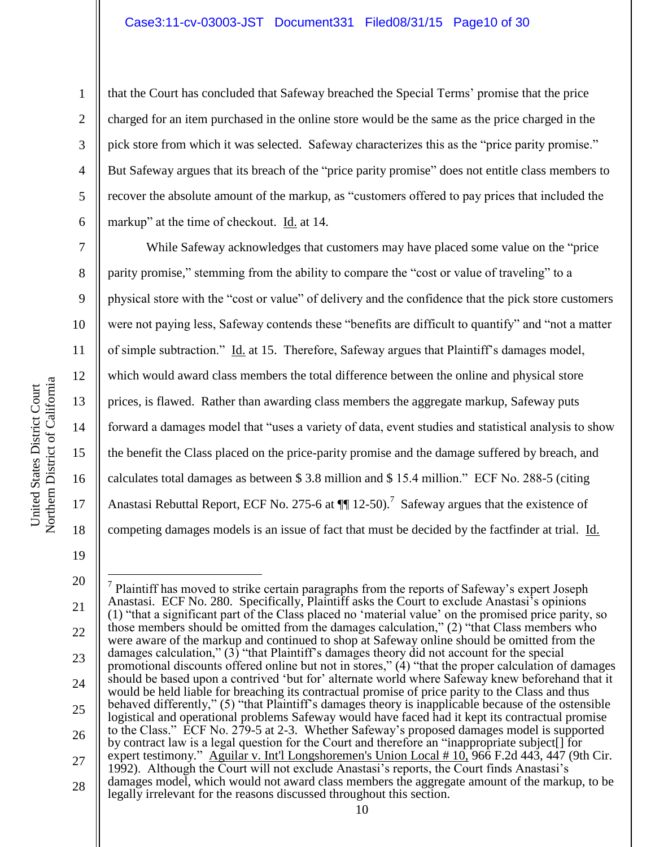that the Court has concluded that Safeway breached the Special Terms' promise that the price charged for an item purchased in the online store would be the same as the price charged in the pick store from which it was selected. Safeway characterizes this as the "price parity promise." But Safeway argues that its breach of the "price parity promise" does not entitle class members to recover the absolute amount of the markup, as "customers offered to pay prices that included the markup" at the time of checkout. Id. at 14.

While Safeway acknowledges that customers may have placed some value on the "price parity promise," stemming from the ability to compare the "cost or value of traveling" to a physical store with the "cost or value" of delivery and the confidence that the pick store customers were not paying less, Safeway contends these "benefits are difficult to quantify" and "not a matter of simple subtraction." Id. at 15. Therefore, Safeway argues that Plaintiff's damages model, which would award class members the total difference between the online and physical store prices, is flawed. Rather than awarding class members the aggregate markup, Safeway puts forward a damages model that "uses a variety of data, event studies and statistical analysis to show the benefit the Class placed on the price-parity promise and the damage suffered by breach, and calculates total damages as between \$ 3.8 million and \$ 15.4 million." ECF No. 288-5 (citing Anastasi Rebuttal Report, ECF No. 275-6 at  $\P$  12-50).<sup>7</sup> Safeway argues that the existence of competing damages models is an issue of fact that must be decided by the factfinder at trial. Id.

1

2

3

4

5

6

7

8

9

10

11

12

13

14

15

16

<sup>18</sup> 19 20

<sup>21</sup> 22 23 24 25 26 27 28  $\overline{a}$  $<sup>7</sup>$  Plaintiff has moved to strike certain paragraphs from the reports of Safeway's expert Joseph</sup> Anastasi. ECF No. 280. Specifically, Plaintiff asks the Court to exclude Anastasi's opinions (1) "that a significant part of the Class placed no 'material value' on the promised price parity, so those members should be omitted from the damages calculation," (2) "that Class members who were aware of the markup and continued to shop at Safeway online should be omitted from the damages calculation," (3) "that Plaintiff's damages theory did not account for the special promotional discounts offered online but not in stores," (4) "that the proper calculation of damages should be based upon a contrived 'but for' alternate world where Safeway knew beforehand that it would be held liable for breaching its contractual promise of price parity to the Class and thus behaved differently," (5) "that Plaintiff's damages theory is inapplicable because of the ostensible logistical and operational problems Safeway would have faced had it kept its contractual promise to the Class." ECF No. 279-5 at 2-3. Whether Safeway's proposed damages model is supported by contract law is a legal question for the Court and therefore an "inappropriate subject[] for expert testimony." Aguilar v. Int'l Longshoremen's Union Local # 10, 966 F.2d 443, 447 (9th Cir. 1992). Although the Court will not exclude Anastasi's reports, the Court finds Anastasi's damages model, which would not award class members the aggregate amount of the markup, to be legally irrelevant for the reasons discussed throughout this section.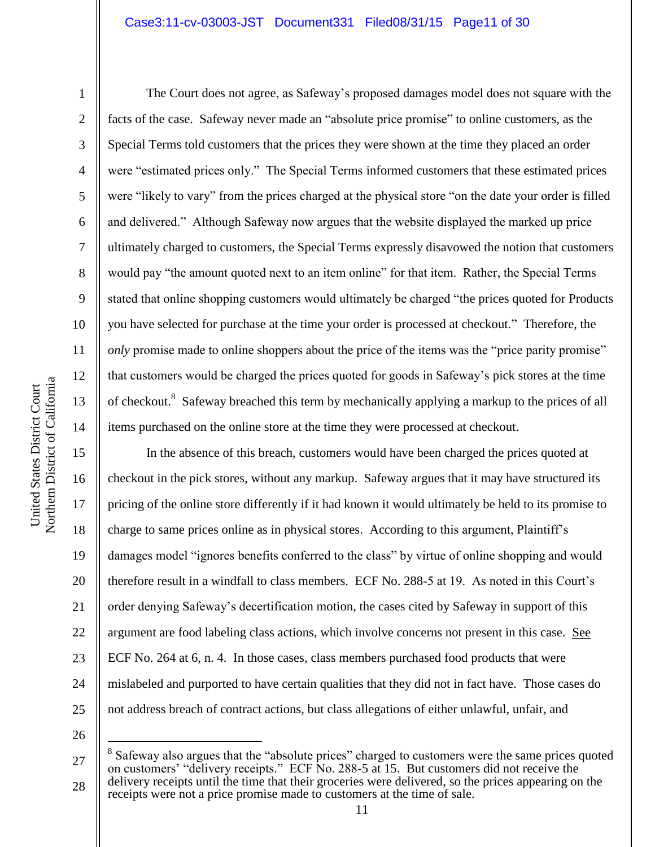### Case3:11-cv-03003-JST Document331 Filed08/31/15 Page11 of 30

1

2

3

4

5

6

7

8

9

10

11

12

13

14

15

16

17

18

19

20

21

22

23

24

25

The Court does not agree, as Safeway's proposed damages model does not square with the facts of the case. Safeway never made an "absolute price promise" to online customers, as the Special Terms told customers that the prices they were shown at the time they placed an order were "estimated prices only." The Special Terms informed customers that these estimated prices were "likely to vary" from the prices charged at the physical store "on the date your order is filled and delivered." Although Safeway now argues that the website displayed the marked up price ultimately charged to customers, the Special Terms expressly disavowed the notion that customers would pay "the amount quoted next to an item online" for that item. Rather, the Special Terms stated that online shopping customers would ultimately be charged "the prices quoted for Products you have selected for purchase at the time your order is processed at checkout." Therefore, the *only* promise made to online shoppers about the price of the items was the "price parity promise" that customers would be charged the prices quoted for goods in Safeway's pick stores at the time of checkout.<sup>8</sup> Safeway breached this term by mechanically applying a markup to the prices of all items purchased on the online store at the time they were processed at checkout.

In the absence of this breach, customers would have been charged the prices quoted at checkout in the pick stores, without any markup. Safeway argues that it may have structured its pricing of the online store differently if it had known it would ultimately be held to its promise to charge to same prices online as in physical stores. According to this argument, Plaintiff's damages model "ignores benefits conferred to the class" by virtue of online shopping and would therefore result in a windfall to class members. ECF No. 288-5 at 19. As noted in this Court's order denying Safeway's decertification motion, the cases cited by Safeway in support of this argument are food labeling class actions, which involve concerns not present in this case. See ECF No. 264 at 6, n. 4. In those cases, class members purchased food products that were mislabeled and purported to have certain qualities that they did not in fact have. Those cases do not address breach of contract actions, but class allegations of either unlawful, unfair, and

26

 $\overline{a}$ 

<sup>27</sup> 28 8 Safeway also argues that the "absolute prices" charged to customers were the same prices quoted on customers' "delivery receipts." ECF No. 288-5 at 15. But customers did not receive the delivery receipts until the time that their groceries were delivered, so the prices appearing on the receipts were not a price promise made to customers at the time of sale.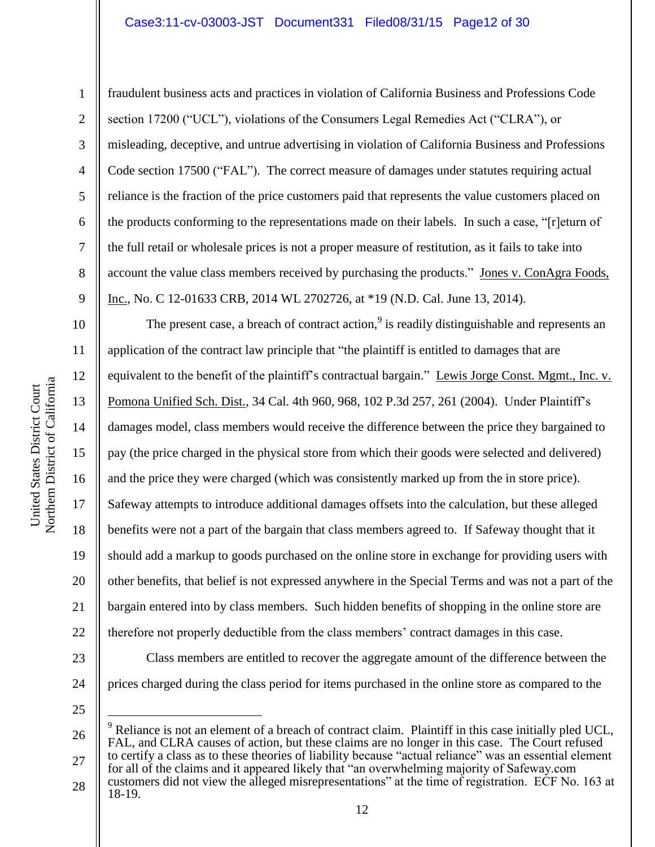Northern District of California Northern District of California United States District Court

United States District Court

1 2 3 4 5 6 7 8 9 fraudulent business acts and practices in violation of California Business and Professions Code section 17200 ("UCL"), violations of the Consumers Legal Remedies Act ("CLRA"), or misleading, deceptive, and untrue advertising in violation of California Business and Professions Code section 17500 ("FAL"). The correct measure of damages under statutes requiring actual reliance is the fraction of the price customers paid that represents the value customers placed on the products conforming to the representations made on their labels. In such a case, "[r]eturn of the full retail or wholesale prices is not a proper measure of restitution, as it fails to take into account the value class members received by purchasing the products." Jones v. ConAgra Foods, Inc., No. C 12-01633 CRB, 2014 WL 2702726, at \*19 (N.D. Cal. June 13, 2014).

10 11 12 13 14 15 16 17 18 19 20 21 22 23 24 The present case, a breach of contract action, $9$  is readily distinguishable and represents an application of the contract law principle that "the plaintiff is entitled to damages that are equivalent to the benefit of the plaintiff's contractual bargain." Lewis Jorge Const. Mgmt., Inc. v. Pomona Unified Sch. Dist., 34 Cal. 4th 960, 968, 102 P.3d 257, 261 (2004). Under Plaintiff's damages model, class members would receive the difference between the price they bargained to pay (the price charged in the physical store from which their goods were selected and delivered) and the price they were charged (which was consistently marked up from the in store price). Safeway attempts to introduce additional damages offsets into the calculation, but these alleged benefits were not a part of the bargain that class members agreed to. If Safeway thought that it should add a markup to goods purchased on the online store in exchange for providing users with other benefits, that belief is not expressed anywhere in the Special Terms and was not a part of the bargain entered into by class members. Such hidden benefits of shopping in the online store are therefore not properly deductible from the class members' contract damages in this case. Class members are entitled to recover the aggregate amount of the difference between the prices charged during the class period for items purchased in the online store as compared to the

25

 $\overline{a}$ 

<sup>26</sup> 27 <sup>9</sup> Reliance is not an element of a breach of contract claim. Plaintiff in this case initially pled UCL, FAL, and CLRA causes of action, but these claims are no longer in this case. The Court refused to certify a class as to these theories of liability because "actual reliance" was an essential element

<sup>28</sup> for all of the claims and it appeared likely that "an overwhelming majority of Safeway.com customers did not view the alleged misrepresentations" at the time of registration. ECF No. 163 at 18-19.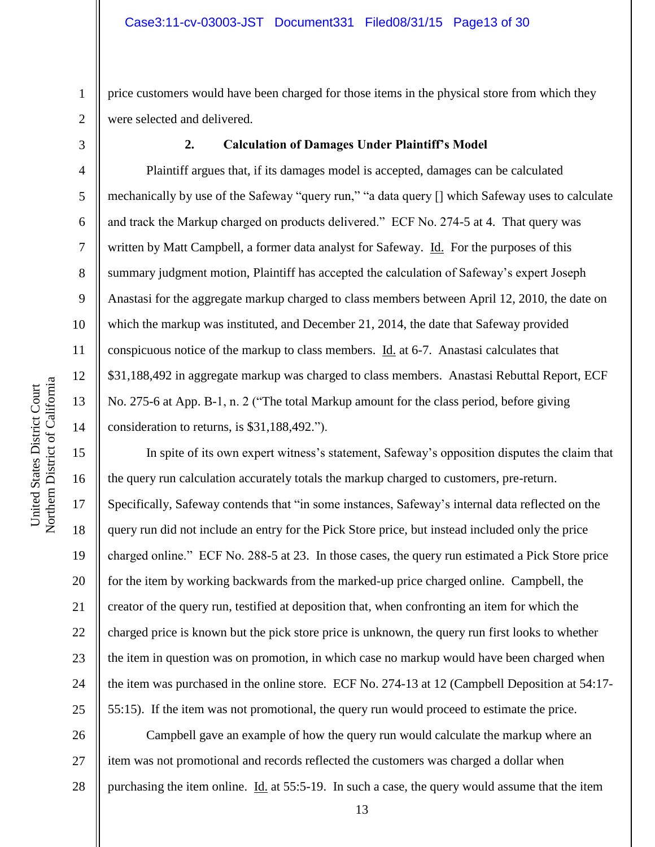2 price customers would have been charged for those items in the physical store from which they were selected and delivered.

3

4

5

6

7

8

9

10

11

12

13

14

15

16

17

18

19

20

21

22

23

24

25

1

### **2. Calculation of Damages Under Plaintiff's Model**

Plaintiff argues that, if its damages model is accepted, damages can be calculated mechanically by use of the Safeway "query run," "a data query [] which Safeway uses to calculate and track the Markup charged on products delivered." ECF No. 274-5 at 4. That query was written by Matt Campbell, a former data analyst for Safeway. Id. For the purposes of this summary judgment motion, Plaintiff has accepted the calculation of Safeway's expert Joseph Anastasi for the aggregate markup charged to class members between April 12, 2010, the date on which the markup was instituted, and December 21, 2014, the date that Safeway provided conspicuous notice of the markup to class members. Id. at 6-7. Anastasi calculates that \$31,188,492 in aggregate markup was charged to class members. Anastasi Rebuttal Report, ECF No. 275-6 at App. B-1, n. 2 ("The total Markup amount for the class period, before giving consideration to returns, is \$31,188,492.").

In spite of its own expert witness's statement, Safeway's opposition disputes the claim that the query run calculation accurately totals the markup charged to customers, pre-return. Specifically, Safeway contends that "in some instances, Safeway's internal data reflected on the query run did not include an entry for the Pick Store price, but instead included only the price charged online." ECF No. 288-5 at 23. In those cases, the query run estimated a Pick Store price for the item by working backwards from the marked-up price charged online. Campbell, the creator of the query run, testified at deposition that, when confronting an item for which the charged price is known but the pick store price is unknown, the query run first looks to whether the item in question was on promotion, in which case no markup would have been charged when the item was purchased in the online store. ECF No. 274-13 at 12 (Campbell Deposition at 54:17- 55:15). If the item was not promotional, the query run would proceed to estimate the price.

26 27 28 Campbell gave an example of how the query run would calculate the markup where an item was not promotional and records reflected the customers was charged a dollar when purchasing the item online. Id. at 55:5-19. In such a case, the query would assume that the item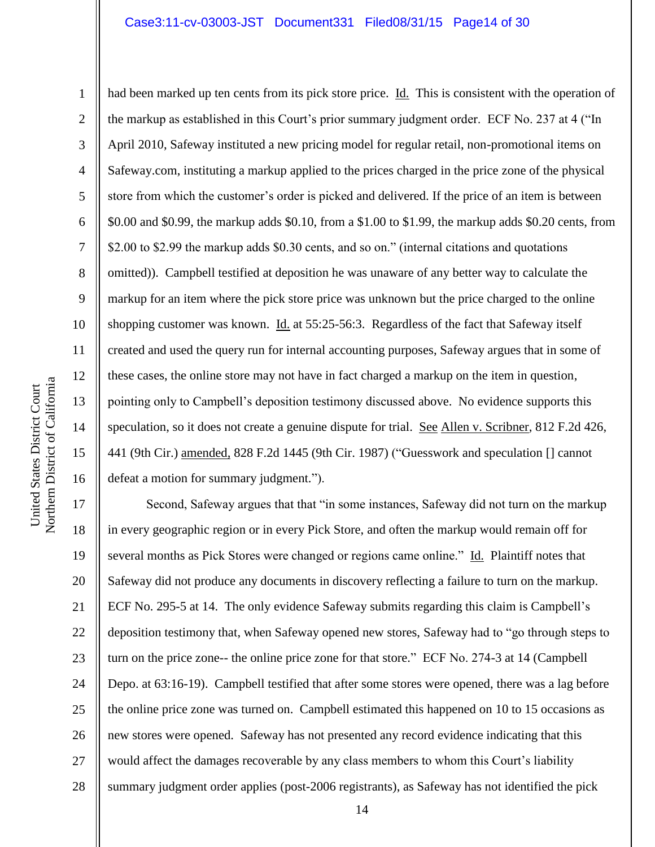10 11 12 Northern District of California Northern District of California 13 14 15 16

United States District Court

United States District Court

1

2

3

4

5

7

8

9

6 had been marked up ten cents from its pick store price. Id. This is consistent with the operation of the markup as established in this Court's prior summary judgment order. ECF No. 237 at 4 ("In April 2010, Safeway instituted a new pricing model for regular retail, non-promotional items on Safeway.com, instituting a markup applied to the prices charged in the price zone of the physical store from which the customer's order is picked and delivered. If the price of an item is between \$0.00 and \$0.99, the markup adds \$0.10, from a \$1.00 to \$1.99, the markup adds \$0.20 cents, from \$2.00 to \$2.99 the markup adds \$0.30 cents, and so on." (internal citations and quotations omitted)). Campbell testified at deposition he was unaware of any better way to calculate the markup for an item where the pick store price was unknown but the price charged to the online shopping customer was known. Id. at 55:25-56:3. Regardless of the fact that Safeway itself created and used the query run for internal accounting purposes, Safeway argues that in some of these cases, the online store may not have in fact charged a markup on the item in question, pointing only to Campbell's deposition testimony discussed above. No evidence supports this speculation, so it does not create a genuine dispute for trial. See Allen v. Scribner, 812 F.2d 426, 441 (9th Cir.) amended, 828 F.2d 1445 (9th Cir. 1987) ("Guesswork and speculation [] cannot defeat a motion for summary judgment.").

17 18 19 20 21 22 23 24 25 26 27 28 Second, Safeway argues that that "in some instances, Safeway did not turn on the markup in every geographic region or in every Pick Store, and often the markup would remain off for several months as Pick Stores were changed or regions came online." Id. Plaintiff notes that Safeway did not produce any documents in discovery reflecting a failure to turn on the markup. ECF No. 295-5 at 14. The only evidence Safeway submits regarding this claim is Campbell's deposition testimony that, when Safeway opened new stores, Safeway had to "go through steps to turn on the price zone-- the online price zone for that store." ECF No. 274-3 at 14 (Campbell Depo. at 63:16-19). Campbell testified that after some stores were opened, there was a lag before the online price zone was turned on. Campbell estimated this happened on 10 to 15 occasions as new stores were opened. Safeway has not presented any record evidence indicating that this would affect the damages recoverable by any class members to whom this Court's liability summary judgment order applies (post-2006 registrants), as Safeway has not identified the pick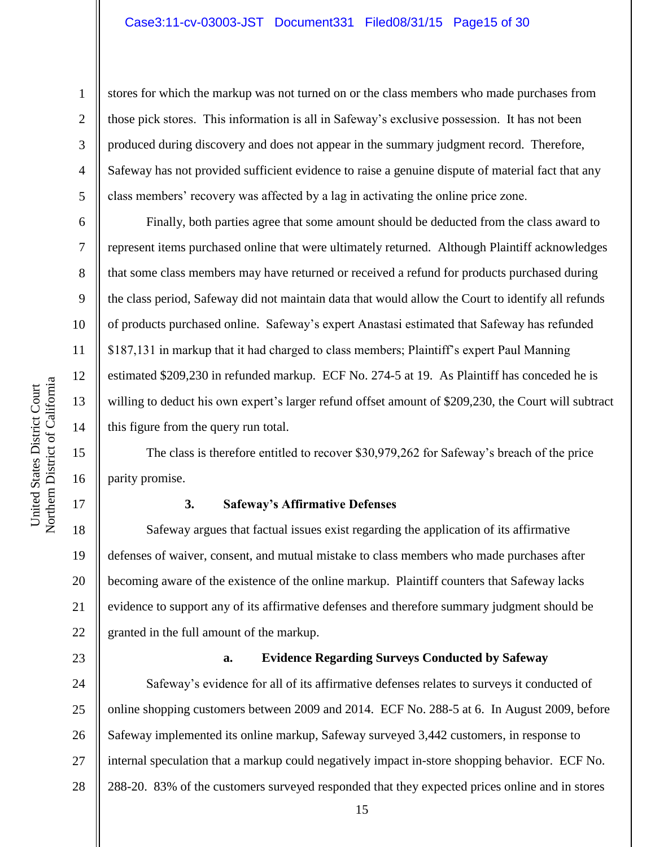### Case3:11-cv-03003-JST Document331 Filed08/31/15 Page15 of 30

stores for which the markup was not turned on or the class members who made purchases from those pick stores. This information is all in Safeway's exclusive possession. It has not been produced during discovery and does not appear in the summary judgment record. Therefore, Safeway has not provided sufficient evidence to raise a genuine dispute of material fact that any class members' recovery was affected by a lag in activating the online price zone.

Finally, both parties agree that some amount should be deducted from the class award to represent items purchased online that were ultimately returned. Although Plaintiff acknowledges that some class members may have returned or received a refund for products purchased during the class period, Safeway did not maintain data that would allow the Court to identify all refunds of products purchased online. Safeway's expert Anastasi estimated that Safeway has refunded \$187,131 in markup that it had charged to class members; Plaintiff's expert Paul Manning estimated \$209,230 in refunded markup. ECF No. 274-5 at 19. As Plaintiff has conceded he is willing to deduct his own expert's larger refund offset amount of \$209,230, the Court will subtract this figure from the query run total.

The class is therefore entitled to recover \$30,979,262 for Safeway's breach of the price parity promise.

### **3. Safeway's Affirmative Defenses**

20 22 Safeway argues that factual issues exist regarding the application of its affirmative defenses of waiver, consent, and mutual mistake to class members who made purchases after becoming aware of the existence of the online markup. Plaintiff counters that Safeway lacks evidence to support any of its affirmative defenses and therefore summary judgment should be granted in the full amount of the markup.

## 23

## **a. Evidence Regarding Surveys Conducted by Safeway**

24 25 26 27 28 Safeway's evidence for all of its affirmative defenses relates to surveys it conducted of online shopping customers between 2009 and 2014. ECF No. 288-5 at 6. In August 2009, before Safeway implemented its online markup, Safeway surveyed 3,442 customers, in response to internal speculation that a markup could negatively impact in-store shopping behavior. ECF No. 288-20. 83% of the customers surveyed responded that they expected prices online and in stores

1

2

3

4

5

6

7

8

9

10

11

12

13

14

15

16

17

18

19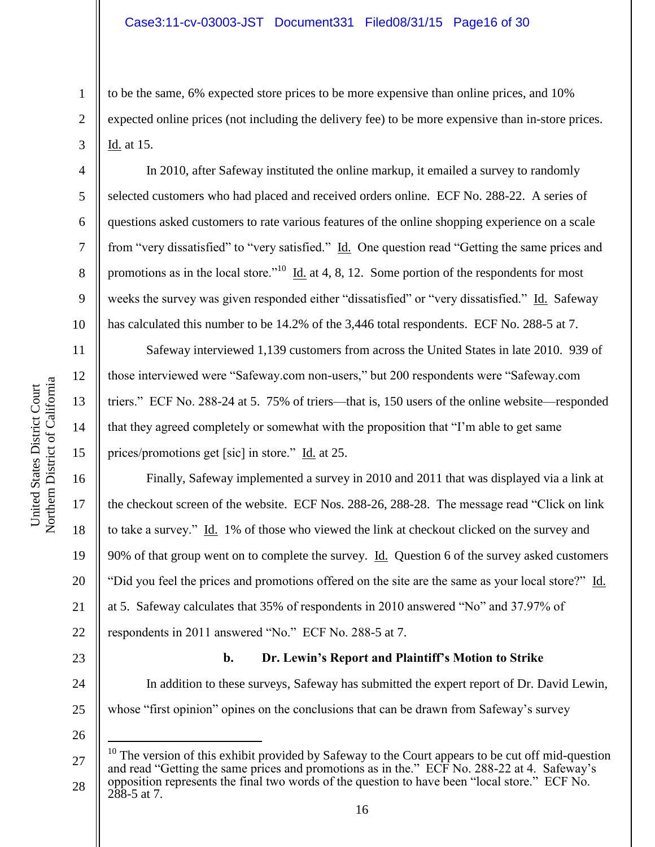to be the same, 6% expected store prices to be more expensive than online prices, and 10% expected online prices (not including the delivery fee) to be more expensive than in-store prices. Id. at 15.

In 2010, after Safeway instituted the online markup, it emailed a survey to randomly selected customers who had placed and received orders online. ECF No. 288-22. A series of questions asked customers to rate various features of the online shopping experience on a scale from "very dissatisfied" to "very satisfied." Id. One question read "Getting the same prices and promotions as in the local store.<sup>"10</sup> Id. at 4, 8, 12. Some portion of the respondents for most weeks the survey was given responded either "dissatisfied" or "very dissatisfied." Id. Safeway has calculated this number to be 14.2% of the 3,446 total respondents. ECF No. 288-5 at 7.

Safeway interviewed 1,139 customers from across the United States in late 2010. 939 of those interviewed were "Safeway.com non-users," but 200 respondents were "Safeway.com triers." ECF No. 288-24 at 5. 75% of triers—that is, 150 users of the online website—responded that they agreed completely or somewhat with the proposition that "I'm able to get same prices/promotions get [sic] in store." Id. at 25.

Finally, Safeway implemented a survey in 2010 and 2011 that was displayed via a link at the checkout screen of the website. ECF Nos. 288-26, 288-28. The message read "Click on link to take a survey." Id. 1% of those who viewed the link at checkout clicked on the survey and 90% of that group went on to complete the survey. <u>Id.</u> Question 6 of the survey asked customers "Did you feel the prices and promotions offered on the site are the same as your local store?" Id. at 5. Safeway calculates that 35% of respondents in 2010 answered "No" and 37.97% of respondents in 2011 answered "No." ECF No. 288-5 at 7.

23

24

25

# **b. Dr. Lewin's Report and Plaintiff's Motion to Strike**

In addition to these surveys, Safeway has submitted the expert report of Dr. David Lewin, whose "first opinion" opines on the conclusions that can be drawn from Safeway's survey

26

 $\overline{a}$ 

1

2

3

4

5

6

7

8

9

10

11

12

13

14

15

16

17

18

19

20

21

<sup>27</sup> 28  $10$  The version of this exhibit provided by Safeway to the Court appears to be cut off mid-question and read "Getting the same prices and promotions as in the." ECF No. 288-22 at 4. Safeway's opposition represents the final two words of the question to have been "local store." ECF No.  $288-5$  at 7.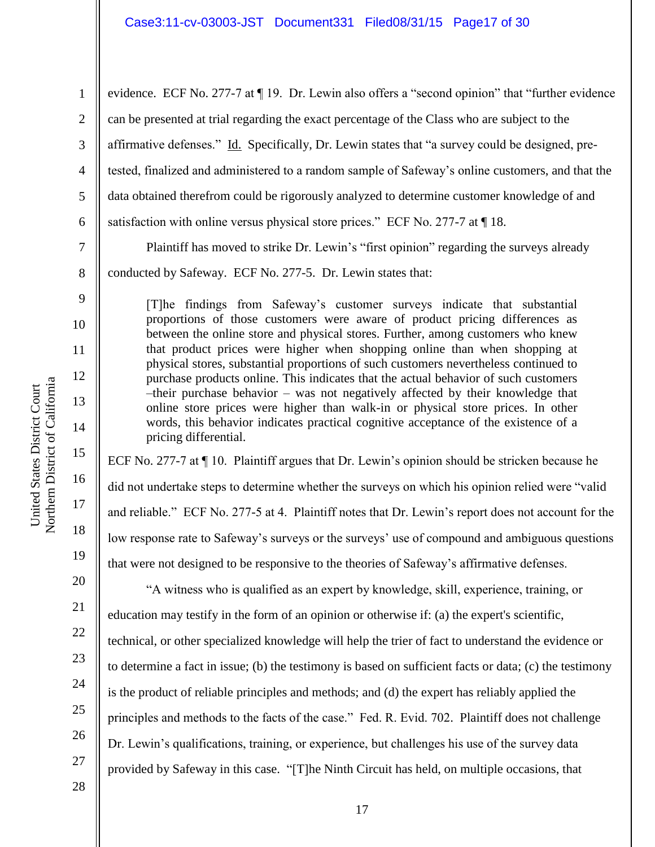1 2 3 4 5 6 7 evidence. ECF No. 277-7 at ¶ 19. Dr. Lewin also offers a "second opinion" that "further evidence can be presented at trial regarding the exact percentage of the Class who are subject to the affirmative defenses." Id. Specifically, Dr. Lewin states that "a survey could be designed, pretested, finalized and administered to a random sample of Safeway's online customers, and that the data obtained therefrom could be rigorously analyzed to determine customer knowledge of and satisfaction with online versus physical store prices." ECF No. 277-7 at  $\P$  18.

Plaintiff has moved to strike Dr. Lewin's "first opinion" regarding the surveys already

conducted by Safeway. ECF No. 277-5. Dr. Lewin states that:

[T]he findings from Safeway's customer surveys indicate that substantial proportions of those customers were aware of product pricing differences as between the online store and physical stores. Further, among customers who knew that product prices were higher when shopping online than when shopping at physical stores, substantial proportions of such customers nevertheless continued to purchase products online. This indicates that the actual behavior of such customers –their purchase behavior – was not negatively affected by their knowledge that online store prices were higher than walk-in or physical store prices. In other words, this behavior indicates practical cognitive acceptance of the existence of a pricing differential.

ECF No. 277-7 at ¶ 10. Plaintiff argues that Dr. Lewin's opinion should be stricken because he did not undertake steps to determine whether the surveys on which his opinion relied were "valid and reliable." ECF No. 277-5 at 4. Plaintiff notes that Dr. Lewin's report does not account for the low response rate to Safeway's surveys or the surveys' use of compound and ambiguous questions that were not designed to be responsive to the theories of Safeway's affirmative defenses.

"A witness who is qualified as an expert by knowledge, skill, experience, training, or education may testify in the form of an opinion or otherwise if: (a) the expert's scientific, technical, or other specialized knowledge will help the trier of fact to understand the evidence or to determine a fact in issue; (b) the testimony is based on sufficient facts or data; (c) the testimony is the product of reliable principles and methods; and (d) the expert has reliably applied the principles and methods to the facts of the case." Fed. R. Evid. 702. Plaintiff does not challenge Dr. Lewin's qualifications, training, or experience, but challenges his use of the survey data provided by Safeway in this case. "[T]he Ninth Circuit has held, on multiple occasions, that

8

9

10

11

12

13

14

15

16

17

18

19

20

21

22

23

24

25

26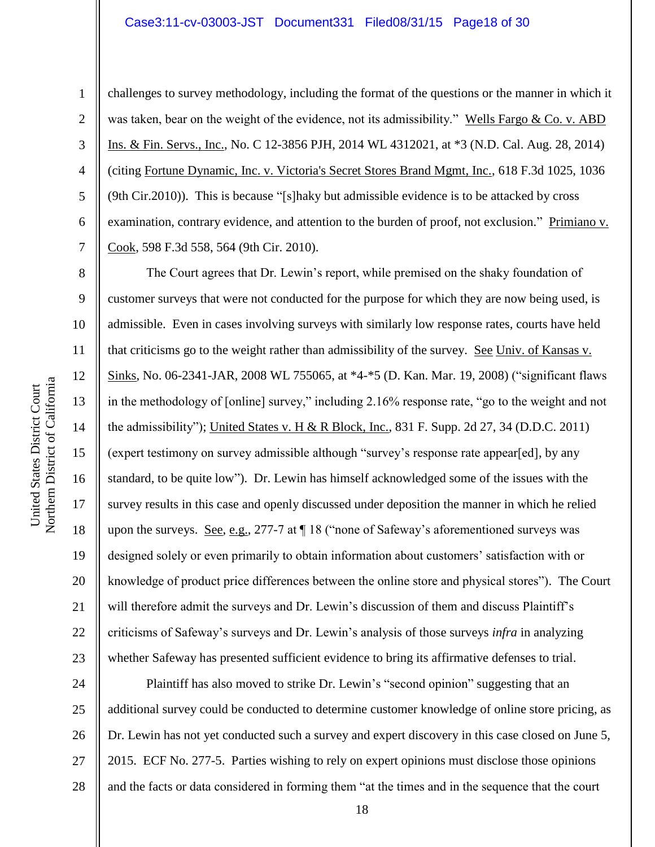#### Case3:11-cv-03003-JST Document331 Filed08/31/15 Page18 of 30

10 11

1

2

3

4

5

6

7

8

9

12

13

14

15

17

18

19

21

challenges to survey methodology, including the format of the questions or the manner in which it was taken, bear on the weight of the evidence, not its admissibility." Wells Fargo & Co. v. ABD Ins. & Fin. Servs., Inc., No. C 12-3856 PJH, 2014 WL 4312021, at \*3 (N.D. Cal. Aug. 28, 2014) (citing Fortune Dynamic, Inc. v. Victoria's Secret Stores Brand Mgmt, Inc., 618 F.3d 1025, 1036 (9th Cir.2010)). This is because "[s]haky but admissible evidence is to be attacked by cross examination, contrary evidence, and attention to the burden of proof, not exclusion." Primiano v. Cook, 598 F.3d 558, 564 (9th Cir. 2010).

16 20 22 23 The Court agrees that Dr. Lewin's report, while premised on the shaky foundation of customer surveys that were not conducted for the purpose for which they are now being used, is admissible. Even in cases involving surveys with similarly low response rates, courts have held that criticisms go to the weight rather than admissibility of the survey. See Univ. of Kansas v. Sinks, No. 06-2341-JAR, 2008 WL 755065, at \*4-\*5 (D. Kan. Mar. 19, 2008) ("significant flaws in the methodology of [online] survey," including 2.16% response rate, "go to the weight and not the admissibility"); United States v. H & R Block, Inc., 831 F. Supp. 2d 27, 34 (D.D.C. 2011) (expert testimony on survey admissible although "survey's response rate appear[ed], by any standard, to be quite low"). Dr. Lewin has himself acknowledged some of the issues with the survey results in this case and openly discussed under deposition the manner in which he relied upon the surveys. See, e.g., 277-7 at ¶ 18 ("none of Safeway's aforementioned surveys was designed solely or even primarily to obtain information about customers' satisfaction with or knowledge of product price differences between the online store and physical stores"). The Court will therefore admit the surveys and Dr. Lewin's discussion of them and discuss Plaintiff's criticisms of Safeway's surveys and Dr. Lewin's analysis of those surveys *infra* in analyzing whether Safeway has presented sufficient evidence to bring its affirmative defenses to trial.

24 25 26 27 28 Plaintiff has also moved to strike Dr. Lewin's "second opinion" suggesting that an additional survey could be conducted to determine customer knowledge of online store pricing, as Dr. Lewin has not yet conducted such a survey and expert discovery in this case closed on June 5, 2015. ECF No. 277-5. Parties wishing to rely on expert opinions must disclose those opinions and the facts or data considered in forming them "at the times and in the sequence that the court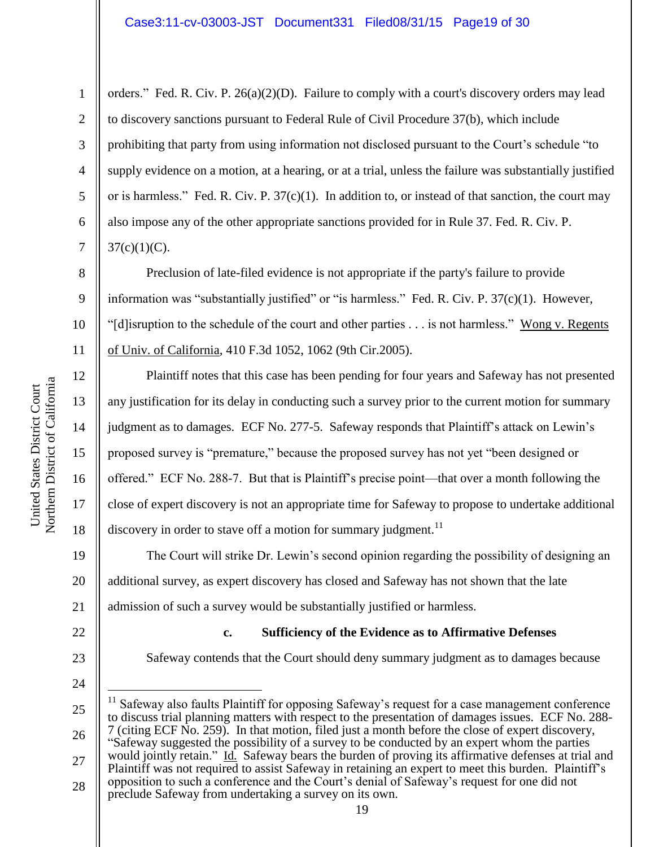2 3 4 5 6 7 orders." Fed. R. Civ. P. 26(a)(2)(D). Failure to comply with a court's discovery orders may lead to discovery sanctions pursuant to Federal Rule of Civil Procedure 37(b), which include prohibiting that party from using information not disclosed pursuant to the Court's schedule "to supply evidence on a motion, at a hearing, or at a trial, unless the failure was substantially justified or is harmless." Fed. R. Civ. P.  $37(c)(1)$ . In addition to, or instead of that sanction, the court may also impose any of the other appropriate sanctions provided for in Rule 37. Fed. R. Civ. P.  $37(c)(1)(C)$ .

Preclusion of late-filed evidence is not appropriate if the party's failure to provide information was "substantially justified" or "is harmless." Fed. R. Civ. P. 37(c)(1). However, "[d]isruption to the schedule of the court and other parties . . . is not harmless." Wong v. Regents of Univ. of California*,* 410 F.3d 1052, 1062 (9th Cir.2005).

Plaintiff notes that this case has been pending for four years and Safeway has not presented any justification for its delay in conducting such a survey prior to the current motion for summary judgment as to damages. ECF No. 277-5. Safeway responds that Plaintiff's attack on Lewin's proposed survey is "premature," because the proposed survey has not yet "been designed or offered." ECF No. 288-7. But that is Plaintiff's precise point—that over a month following the close of expert discovery is not an appropriate time for Safeway to propose to undertake additional discovery in order to stave off a motion for summary judgment.<sup>11</sup>

19 20 21 The Court will strike Dr. Lewin's second opinion regarding the possibility of designing an additional survey, as expert discovery has closed and Safeway has not shown that the late admission of such a survey would be substantially justified or harmless.

**c. Sufficiency of the Evidence as to Affirmative Defenses**

Safeway contends that the Court should deny summary judgment as to damages because

# 22

23

24

25 26  $\overline{a}$  $11$  Safeway also faults Plaintiff for opposing Safeway's request for a case management conference to discuss trial planning matters with respect to the presentation of damages issues. ECF No. 288- 7 (citing ECF No. 259). In that motion, filed just a month before the close of expert discovery, "Safeway suggested the possibility of a survey to be conducted by an expert whom the parties would jointly retain." Id. Safeway bears the burden of proving its affirmative defenses at trial and

- 27 28 Plaintiff was not required to assist Safeway in retaining an expert to meet this burden. Plaintiff's opposition to such a conference and the Court's denial of Safeway's request for one did not
- preclude Safeway from undertaking a survey on its own.

1

8

9

10

11

12

13

14

15

16

17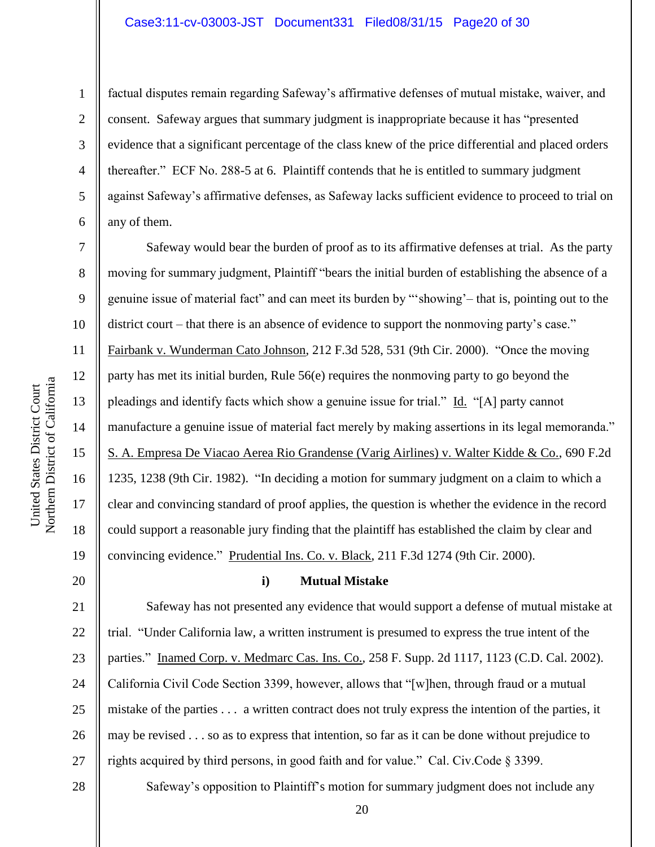### Case3:11-cv-03003-JST Document331 Filed08/31/15 Page20 of 30

1

2

3

4

5

6

7

8

9

10

11

12

13

14

15

16

17

18

19

20

factual disputes remain regarding Safeway's affirmative defenses of mutual mistake, waiver, and consent. Safeway argues that summary judgment is inappropriate because it has "presented evidence that a significant percentage of the class knew of the price differential and placed orders thereafter." ECF No. 288-5 at 6. Plaintiff contends that he is entitled to summary judgment against Safeway's affirmative defenses, as Safeway lacks sufficient evidence to proceed to trial on any of them.

Safeway would bear the burden of proof as to its affirmative defenses at trial. As the party moving for summary judgment, Plaintiff "bears the initial burden of establishing the absence of a genuine issue of material fact" and can meet its burden by "'showing' – that is, pointing out to the district court – that there is an absence of evidence to support the nonmoving party's case." Fairbank v. Wunderman Cato Johnson, 212 F.3d 528, 531 (9th Cir. 2000). "Once the moving party has met its initial burden, Rule 56(e) requires the nonmoving party to go beyond the pleadings and identify facts which show a genuine issue for trial." Id. "[A] party cannot manufacture a genuine issue of material fact merely by making assertions in its legal memoranda." S. A. Empresa De Viacao Aerea Rio Grandense (Varig Airlines) v. Walter Kidde & Co., 690 F.2d 1235, 1238 (9th Cir. 1982). "In deciding a motion for summary judgment on a claim to which a clear and convincing standard of proof applies, the question is whether the evidence in the record could support a reasonable jury finding that the plaintiff has established the claim by clear and convincing evidence." Prudential Ins. Co. v. Black, 211 F.3d 1274 (9th Cir. 2000).

### **i) Mutual Mistake**

21 22 23 24 25 26 27 Safeway has not presented any evidence that would support a defense of mutual mistake at trial. "Under California law, a written instrument is presumed to express the true intent of the parties." Inamed Corp. v. Medmarc Cas. Ins. Co., 258 F. Supp. 2d 1117, 1123 (C.D. Cal. 2002). California Civil Code Section 3399, however, allows that "[w]hen, through fraud or a mutual mistake of the parties . . . a written contract does not truly express the intention of the parties, it may be revised . . . so as to express that intention, so far as it can be done without prejudice to rights acquired by third persons, in good faith and for value." Cal. Civ.Code § 3399.

Northern District of California Northern District of California United States District Court United States District Court

28

20 Safeway's opposition to Plaintiff's motion for summary judgment does not include any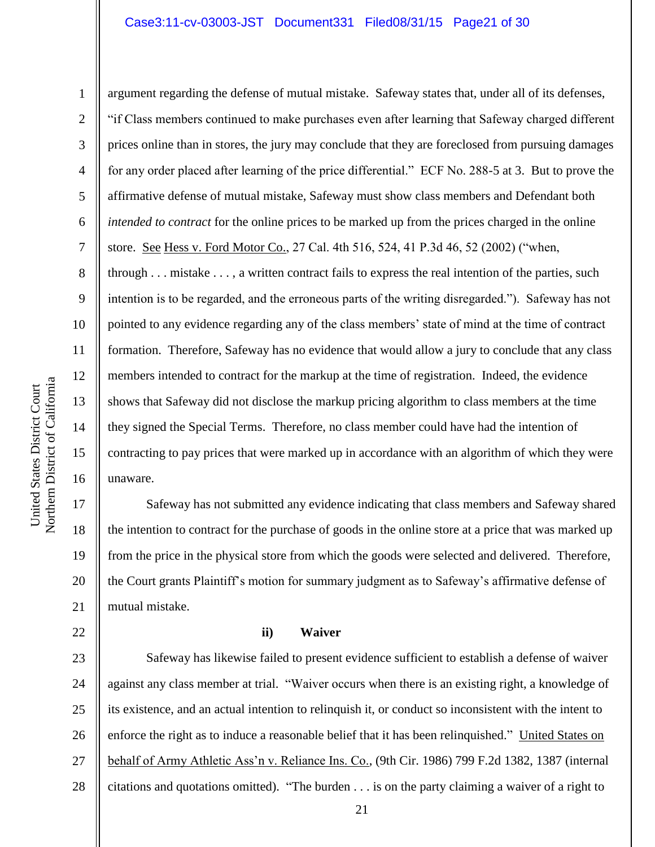### Case3:11-cv-03003-JST Document331 Filed08/31/15 Page21 of 30

22

1

2 3 4 5 6 7 8 9 10 11 12 13 14 15 16 argument regarding the defense of mutual mistake. Safeway states that, under all of its defenses, "if Class members continued to make purchases even after learning that Safeway charged different prices online than in stores, the jury may conclude that they are foreclosed from pursuing damages for any order placed after learning of the price differential." ECF No. 288-5 at 3. But to prove the affirmative defense of mutual mistake, Safeway must show class members and Defendant both *intended to contract* for the online prices to be marked up from the prices charged in the online store. See Hess v. Ford Motor Co., 27 Cal. 4th 516, 524, 41 P.3d 46, 52 (2002) ("when, through . . . mistake . . . , a written contract fails to express the real intention of the parties, such intention is to be regarded, and the erroneous parts of the writing disregarded."). Safeway has not pointed to any evidence regarding any of the class members' state of mind at the time of contract formation. Therefore, Safeway has no evidence that would allow a jury to conclude that any class members intended to contract for the markup at the time of registration. Indeed, the evidence shows that Safeway did not disclose the markup pricing algorithm to class members at the time they signed the Special Terms. Therefore, no class member could have had the intention of contracting to pay prices that were marked up in accordance with an algorithm of which they were unaware.

17 18 19 20 21 Safeway has not submitted any evidence indicating that class members and Safeway shared the intention to contract for the purchase of goods in the online store at a price that was marked up from the price in the physical store from which the goods were selected and delivered. Therefore, the Court grants Plaintiff's motion for summary judgment as to Safeway's affirmative defense of mutual mistake.

#### **ii) Waiver**

23 24 25 26 27 28 Safeway has likewise failed to present evidence sufficient to establish a defense of waiver against any class member at trial. "Waiver occurs when there is an existing right, a knowledge of its existence, and an actual intention to relinquish it, or conduct so inconsistent with the intent to enforce the right as to induce a reasonable belief that it has been relinquished." United States on behalf of Army Athletic Ass'n v. Reliance Ins. Co., (9th Cir. 1986) 799 F.2d 1382, 1387 (internal citations and quotations omitted). "The burden . . . is on the party claiming a waiver of a right to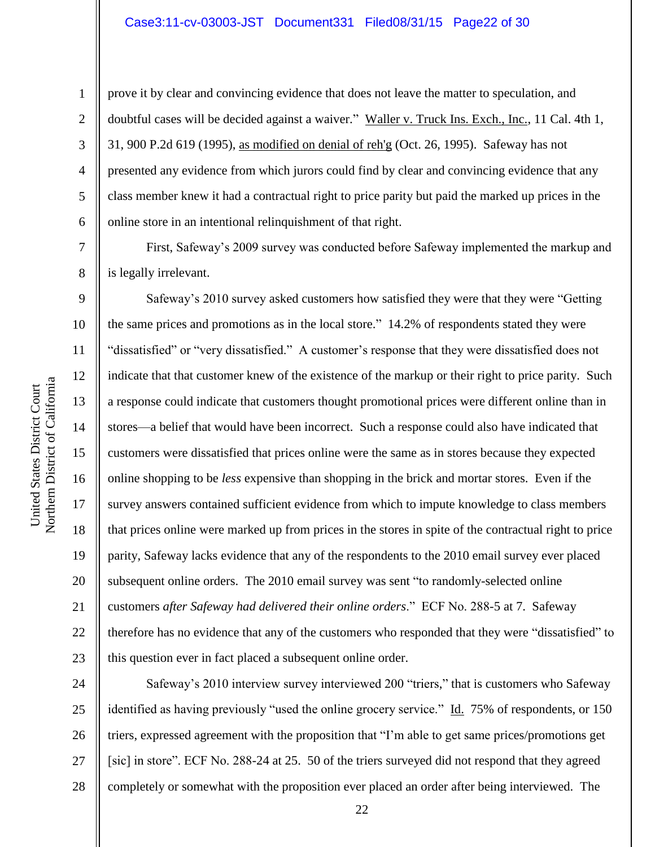prove it by clear and convincing evidence that does not leave the matter to speculation, and doubtful cases will be decided against a waiver." Waller v. Truck Ins. Exch., Inc., 11 Cal. 4th 1, 31, 900 P.2d 619 (1995), as modified on denial of reh'g (Oct. 26, 1995). Safeway has not presented any evidence from which jurors could find by clear and convincing evidence that any class member knew it had a contractual right to price parity but paid the marked up prices in the online store in an intentional relinquishment of that right.

First, Safeway's 2009 survey was conducted before Safeway implemented the markup and is legally irrelevant.

10 12 14 16 20 22 23 Safeway's 2010 survey asked customers how satisfied they were that they were "Getting the same prices and promotions as in the local store." 14.2% of respondents stated they were "dissatisfied" or "very dissatisfied." A customer's response that they were dissatisfied does not indicate that that customer knew of the existence of the markup or their right to price parity. Such a response could indicate that customers thought promotional prices were different online than in stores—a belief that would have been incorrect. Such a response could also have indicated that customers were dissatisfied that prices online were the same as in stores because they expected online shopping to be *less* expensive than shopping in the brick and mortar stores. Even if the survey answers contained sufficient evidence from which to impute knowledge to class members that prices online were marked up from prices in the stores in spite of the contractual right to price parity, Safeway lacks evidence that any of the respondents to the 2010 email survey ever placed subsequent online orders. The 2010 email survey was sent "to randomly-selected online customers *after Safeway had delivered their online orders*." ECF No. 288-5 at 7. Safeway therefore has no evidence that any of the customers who responded that they were "dissatisfied" to this question ever in fact placed a subsequent online order.

24 25 26 27 28 Safeway's 2010 interview survey interviewed 200 "triers," that is customers who Safeway identified as having previously "used the online grocery service." Id. 75% of respondents, or 150 triers, expressed agreement with the proposition that "I'm able to get same prices/promotions get [sic] in store". ECF No. 288-24 at 25. 50 of the triers surveyed did not respond that they agreed completely or somewhat with the proposition ever placed an order after being interviewed. The

1

2

3

4

5

6

7

8

9

11

13

15

17

18

19

21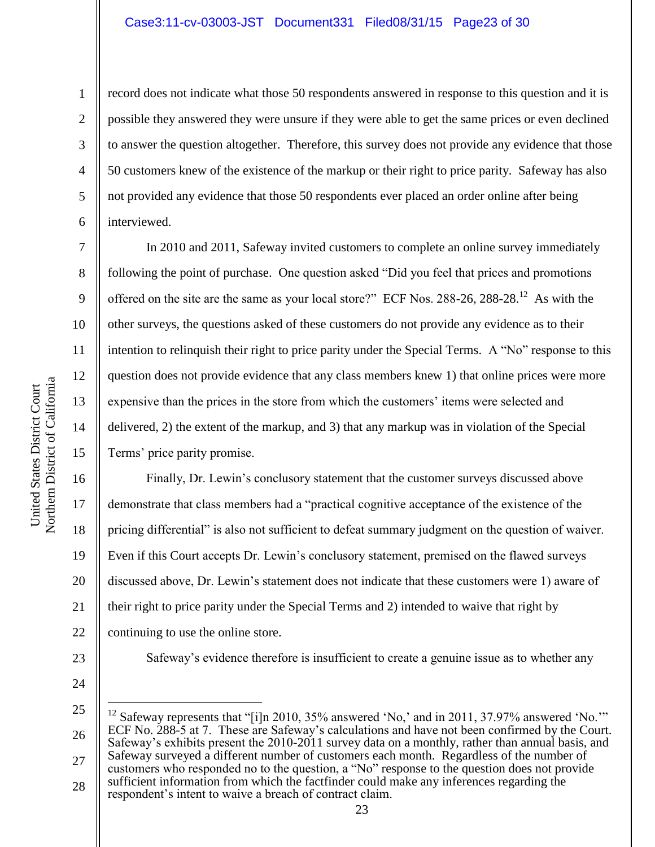### Case3:11-cv-03003-JST Document331 Filed08/31/15 Page23 of 30

6

7

8

9

10

11

12

13

14

15

1

record does not indicate what those 50 respondents answered in response to this question and it is possible they answered they were unsure if they were able to get the same prices or even declined to answer the question altogether. Therefore, this survey does not provide any evidence that those 50 customers knew of the existence of the markup or their right to price parity. Safeway has also not provided any evidence that those 50 respondents ever placed an order online after being interviewed.

In 2010 and 2011, Safeway invited customers to complete an online survey immediately following the point of purchase. One question asked "Did you feel that prices and promotions offered on the site are the same as your local store?" ECF Nos.  $288-26$ ,  $288-28$ .<sup>12</sup> As with the other surveys, the questions asked of these customers do not provide any evidence as to their intention to relinquish their right to price parity under the Special Terms. A "No" response to this question does not provide evidence that any class members knew 1) that online prices were more expensive than the prices in the store from which the customers' items were selected and delivered, 2) the extent of the markup, and 3) that any markup was in violation of the Special Terms' price parity promise.

16 17 18 19 20 21 22 Finally, Dr. Lewin's conclusory statement that the customer surveys discussed above demonstrate that class members had a "practical cognitive acceptance of the existence of the pricing differential" is also not sufficient to defeat summary judgment on the question of waiver. Even if this Court accepts Dr. Lewin's conclusory statement, premised on the flawed surveys discussed above, Dr. Lewin's statement does not indicate that these customers were 1) aware of their right to price parity under the Special Terms and 2) intended to waive that right by continuing to use the online store.

- 23
- 24

 $\overline{a}$ 

25 26 27 28 <sup>12</sup> Safeway represents that "[i]n 2010, 35% answered 'No,' and in 2011, 37.97% answered 'No.'" ECF No. 288-5 at 7. These are Safeway's calculations and have not been confirmed by the Court. Safeway's exhibits present the 2010-2011 survey data on a monthly, rather than annual basis, and Safeway surveyed a different number of customers each month. Regardless of the number of customers who responded no to the question, a "No" response to the question does not provide sufficient information from which the factfinder could make any inferences regarding the respondent's intent to waive a breach of contract claim.

Safeway's evidence therefore is insufficient to create a genuine issue as to whether any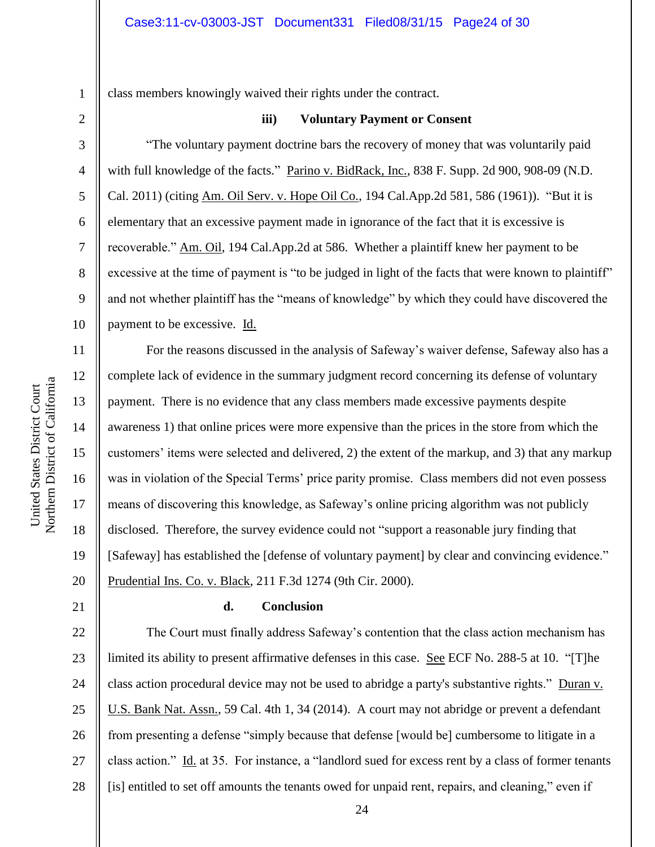class members knowingly waived their rights under the contract.

**iii) Voluntary Payment or Consent**

"The voluntary payment doctrine bars the recovery of money that was voluntarily paid with full knowledge of the facts." Parino v. BidRack, Inc., 838 F. Supp. 2d 900, 908-09 (N.D. Cal. 2011) (citing Am. Oil Serv. v. Hope Oil Co., 194 Cal.App.2d 581, 586 (1961)). "But it is elementary that an excessive payment made in ignorance of the fact that it is excessive is recoverable." Am. Oil, 194 Cal.App.2d at 586. Whether a plaintiff knew her payment to be excessive at the time of payment is "to be judged in light of the facts that were known to plaintiff" and not whether plaintiff has the "means of knowledge" by which they could have discovered the payment to be excessive. Id.

For the reasons discussed in the analysis of Safeway's waiver defense, Safeway also has a complete lack of evidence in the summary judgment record concerning its defense of voluntary payment. There is no evidence that any class members made excessive payments despite awareness 1) that online prices were more expensive than the prices in the store from which the customers' items were selected and delivered, 2) the extent of the markup, and 3) that any markup was in violation of the Special Terms' price parity promise. Class members did not even possess means of discovering this knowledge, as Safeway's online pricing algorithm was not publicly disclosed. Therefore, the survey evidence could not "support a reasonable jury finding that [Safeway] has established the [defense of voluntary payment] by clear and convincing evidence." Prudential Ins. Co. v. Black, 211 F.3d 1274 (9th Cir. 2000).

### 21

# **d. Conclusion**

22 23 24 25 26 27 28 The Court must finally address Safeway's contention that the class action mechanism has limited its ability to present affirmative defenses in this case. See ECF No. 288-5 at 10. "[T]he class action procedural device may not be used to abridge a party's substantive rights." Duran v. U.S. Bank Nat. Assn., 59 Cal. 4th 1, 34 (2014). A court may not abridge or prevent a defendant from presenting a defense "simply because that defense [would be] cumbersome to litigate in a class action." Id. at 35. For instance, a "landlord sued for excess rent by a class of former tenants [is] entitled to set off amounts the tenants owed for unpaid rent, repairs, and cleaning," even if

1

2

3

4

5

6

7

8

9

10

11

12

13

14

15

16

17

18

19

20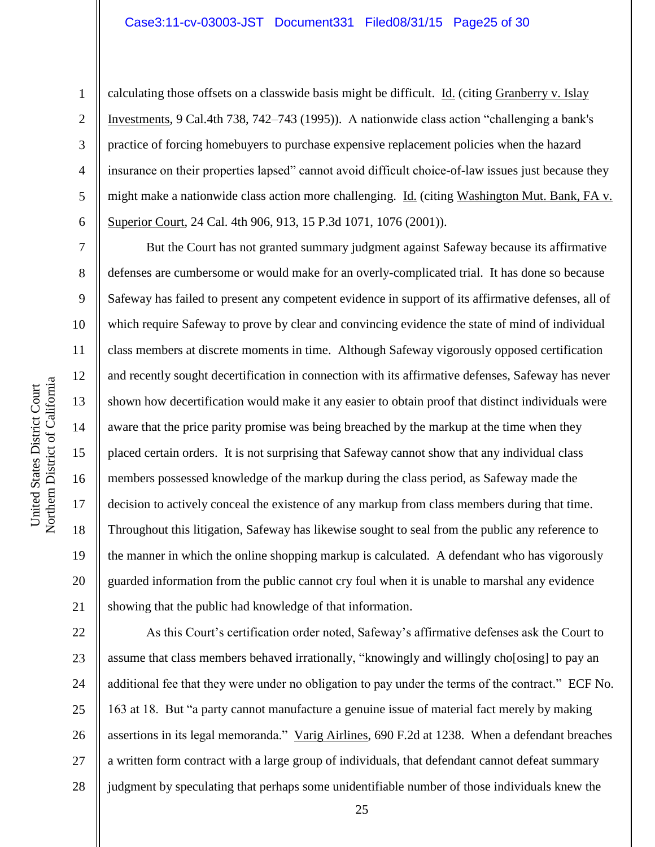5

6

7

8

9

10

11

12

13

14

15

16

17

18

19

20

21

1

calculating those offsets on a classwide basis might be difficult. Id. (citing Granberry v. Islay Investments, 9 Cal.4th 738, 742–743 (1995)). A nationwide class action "challenging a bank's practice of forcing homebuyers to purchase expensive replacement policies when the hazard insurance on their properties lapsed" cannot avoid difficult choice-of-law issues just because they might make a nationwide class action more challenging. Id. (citing Washington Mut. Bank, FA v. Superior Court, 24 Cal. 4th 906, 913, 15 P.3d 1071, 1076 (2001)).

But the Court has not granted summary judgment against Safeway because its affirmative defenses are cumbersome or would make for an overly-complicated trial. It has done so because Safeway has failed to present any competent evidence in support of its affirmative defenses, all of which require Safeway to prove by clear and convincing evidence the state of mind of individual class members at discrete moments in time. Although Safeway vigorously opposed certification and recently sought decertification in connection with its affirmative defenses, Safeway has never shown how decertification would make it any easier to obtain proof that distinct individuals were aware that the price parity promise was being breached by the markup at the time when they placed certain orders. It is not surprising that Safeway cannot show that any individual class members possessed knowledge of the markup during the class period, as Safeway made the decision to actively conceal the existence of any markup from class members during that time. Throughout this litigation, Safeway has likewise sought to seal from the public any reference to the manner in which the online shopping markup is calculated. A defendant who has vigorously guarded information from the public cannot cry foul when it is unable to marshal any evidence showing that the public had knowledge of that information.

22 23 24 25 26 27 28 As this Court's certification order noted, Safeway's affirmative defenses ask the Court to assume that class members behaved irrationally, "knowingly and willingly cho[osing] to pay an additional fee that they were under no obligation to pay under the terms of the contract." ECF No. 163 at 18. But "a party cannot manufacture a genuine issue of material fact merely by making assertions in its legal memoranda." Varig Airlines, 690 F.2d at 1238. When a defendant breaches a written form contract with a large group of individuals, that defendant cannot defeat summary judgment by speculating that perhaps some unidentifiable number of those individuals knew the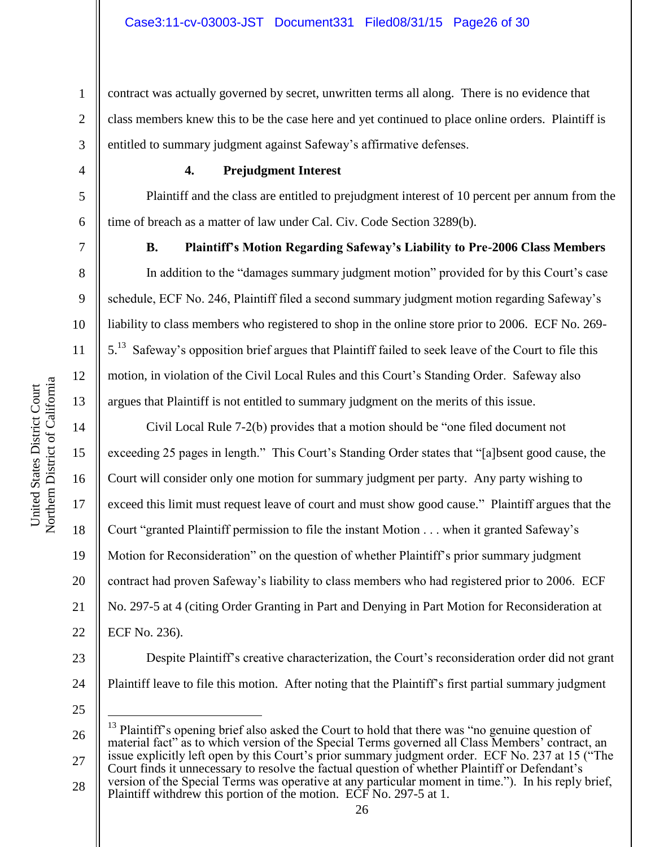1 2 3 contract was actually governed by secret, unwritten terms all along. There is no evidence that class members knew this to be the case here and yet continued to place online orders. Plaintiff is entitled to summary judgment against Safeway's affirmative defenses.

4

5

6

7

8

9

10

11

12

13

14

15

16

17

18

19

20

21

22

# **4. Prejudgment Interest**

Plaintiff and the class are entitled to prejudgment interest of 10 percent per annum from the time of breach as a matter of law under Cal. Civ. Code Section 3289(b).

# **B. Plaintiff's Motion Regarding Safeway's Liability to Pre-2006 Class Members**

In addition to the "damages summary judgment motion" provided for by this Court's case schedule, ECF No. 246, Plaintiff filed a second summary judgment motion regarding Safeway's liability to class members who registered to shop in the online store prior to 2006. ECF No. 269- 5.<sup>13</sup> Safeway's opposition brief argues that Plaintiff failed to seek leave of the Court to file this motion, in violation of the Civil Local Rules and this Court's Standing Order. Safeway also argues that Plaintiff is not entitled to summary judgment on the merits of this issue.

Civil Local Rule 7-2(b) provides that a motion should be "one filed document not exceeding 25 pages in length." This Court's Standing Order states that "[a]bsent good cause, the Court will consider only one motion for summary judgment per party. Any party wishing to exceed this limit must request leave of court and must show good cause." Plaintiff argues that the Court "granted Plaintiff permission to file the instant Motion . . . when it granted Safeway's Motion for Reconsideration" on the question of whether Plaintiff's prior summary judgment contract had proven Safeway's liability to class members who had registered prior to 2006. ECF No. 297-5 at 4 (citing Order Granting in Part and Denying in Part Motion for Reconsideration at ECF No. 236).

23 24 Despite Plaintiff's creative characterization, the Court's reconsideration order did not grant Plaintiff leave to file this motion. After noting that the Plaintiff's first partial summary judgment

25

 $\overline{a}$ 

<sup>26</sup> 27 <sup>13</sup> Plaintiff's opening brief also asked the Court to hold that there was "no genuine question of material fact" as to which version of the Special Terms governed all Class Members' contract, an issue explicitly left open by this Court's prior summary judgment order. ECF No. 237 at 15 ("The Court finds it unnecessary to resolve the factual question of whether Plaintiff or Defendant's

<sup>28</sup> version of the Special Terms was operative at any particular moment in time."). In his reply brief, Plaintiff withdrew this portion of the motion. ECF No. 297-5 at 1.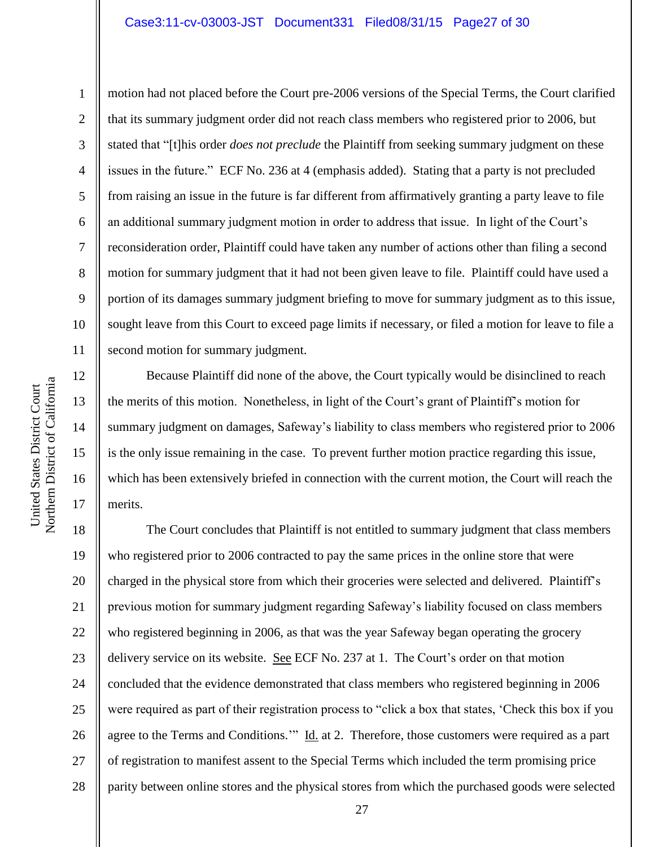### Case3:11-cv-03003-JST Document331 Filed08/31/15 Page27 of 30

motion had not placed before the Court pre-2006 versions of the Special Terms, the Court clarified that its summary judgment order did not reach class members who registered prior to 2006, but stated that "[t]his order *does not preclude* the Plaintiff from seeking summary judgment on these issues in the future." ECF No. 236 at 4 (emphasis added). Stating that a party is not precluded from raising an issue in the future is far different from affirmatively granting a party leave to file an additional summary judgment motion in order to address that issue. In light of the Court's reconsideration order, Plaintiff could have taken any number of actions other than filing a second motion for summary judgment that it had not been given leave to file. Plaintiff could have used a portion of its damages summary judgment briefing to move for summary judgment as to this issue, sought leave from this Court to exceed page limits if necessary, or filed a motion for leave to file a second motion for summary judgment.

Because Plaintiff did none of the above, the Court typically would be disinclined to reach the merits of this motion. Nonetheless, in light of the Court's grant of Plaintiff's motion for summary judgment on damages, Safeway's liability to class members who registered prior to 2006 is the only issue remaining in the case. To prevent further motion practice regarding this issue, which has been extensively briefed in connection with the current motion, the Court will reach the merits.

18 19 20 21 22 23 24 25 26 27 28 The Court concludes that Plaintiff is not entitled to summary judgment that class members who registered prior to 2006 contracted to pay the same prices in the online store that were charged in the physical store from which their groceries were selected and delivered. Plaintiff's previous motion for summary judgment regarding Safeway's liability focused on class members who registered beginning in 2006, as that was the year Safeway began operating the grocery delivery service on its website. See ECF No. 237 at 1. The Court's order on that motion concluded that the evidence demonstrated that class members who registered beginning in 2006 were required as part of their registration process to "click a box that states, 'Check this box if you agree to the Terms and Conditions.'" Id. at 2. Therefore, those customers were required as a part of registration to manifest assent to the Special Terms which included the term promising price parity between online stores and the physical stores from which the purchased goods were selected

1

2

3

4

5

6

7

8

9

10

11

12

13

14

15

16

17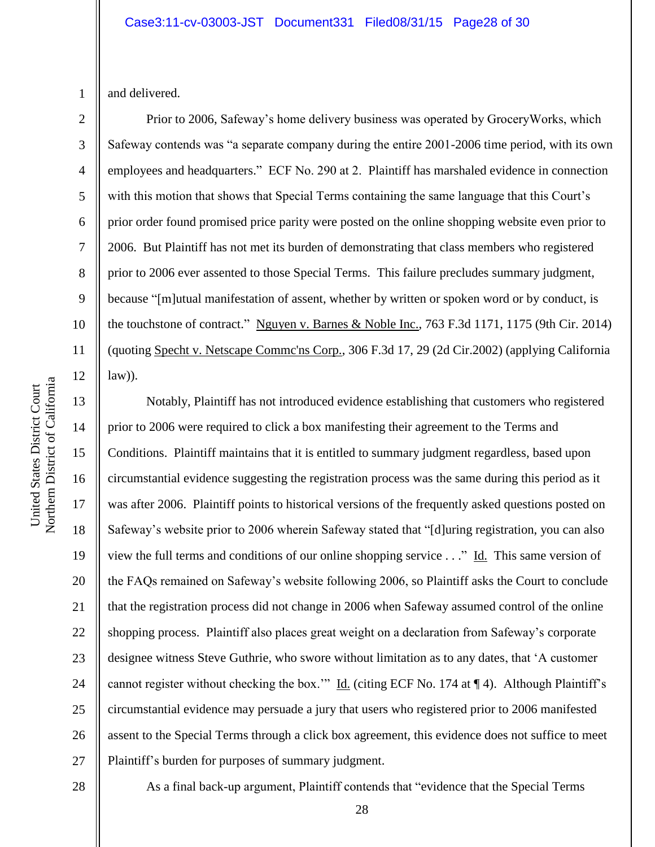1 and delivered.

2

3

4

5

6

7

8

9

10

11

12

13

14

15

17

18

19

21

23

25

Prior to 2006, Safeway's home delivery business was operated by GroceryWorks, which Safeway contends was "a separate company during the entire 2001-2006 time period, with its own employees and headquarters." ECF No. 290 at 2. Plaintiff has marshaled evidence in connection with this motion that shows that Special Terms containing the same language that this Court's prior order found promised price parity were posted on the online shopping website even prior to 2006. But Plaintiff has not met its burden of demonstrating that class members who registered prior to 2006 ever assented to those Special Terms. This failure precludes summary judgment, because "[m]utual manifestation of assent, whether by written or spoken word or by conduct, is the touchstone of contract." Nguyen v. Barnes & Noble Inc., 763 F.3d 1171, 1175 (9th Cir. 2014) (quoting Specht v. Netscape Commc'ns Corp., 306 F.3d 17, 29 (2d Cir.2002) (applying California  $law)$ ).

16 20 22 24 26 27 Notably, Plaintiff has not introduced evidence establishing that customers who registered prior to 2006 were required to click a box manifesting their agreement to the Terms and Conditions. Plaintiff maintains that it is entitled to summary judgment regardless, based upon circumstantial evidence suggesting the registration process was the same during this period as it was after 2006. Plaintiff points to historical versions of the frequently asked questions posted on Safeway's website prior to 2006 wherein Safeway stated that "[d]uring registration, you can also view the full terms and conditions of our online shopping service . . ." Id. This same version of the FAQs remained on Safeway's website following 2006, so Plaintiff asks the Court to conclude that the registration process did not change in 2006 when Safeway assumed control of the online shopping process. Plaintiff also places great weight on a declaration from Safeway's corporate designee witness Steve Guthrie, who swore without limitation as to any dates, that 'A customer cannot register without checking the box." Id. (citing ECF No. 174 at ¶ 4). Although Plaintiff's circumstantial evidence may persuade a jury that users who registered prior to 2006 manifested assent to the Special Terms through a click box agreement, this evidence does not suffice to meet Plaintiff's burden for purposes of summary judgment.

28

As a final back-up argument, Plaintiff contends that "evidence that the Special Terms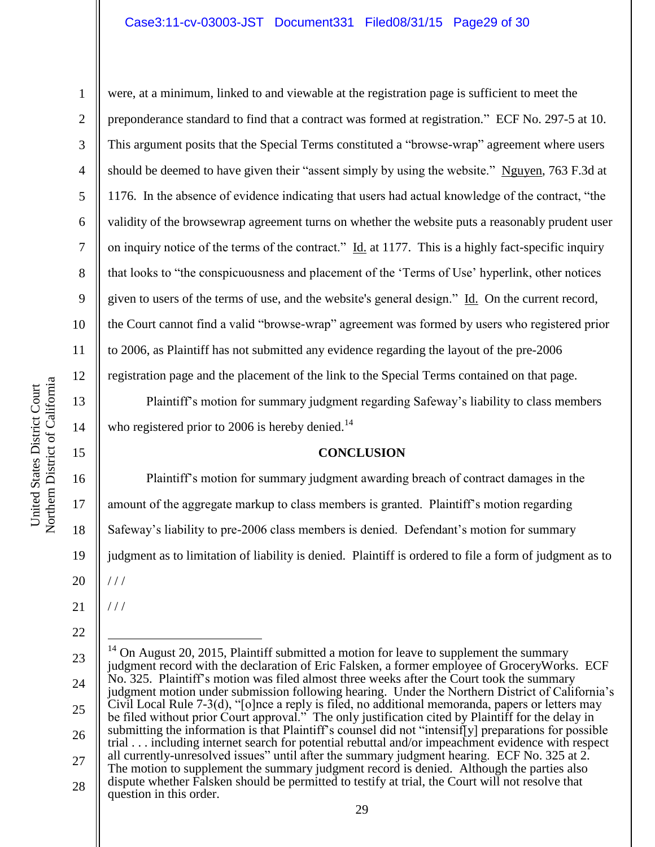1

2

3

4

5

6

7

8

9

10

11

12

13

14

15

16

17

18

were, at a minimum, linked to and viewable at the registration page is sufficient to meet the preponderance standard to find that a contract was formed at registration." ECF No. 297-5 at 10. This argument posits that the Special Terms constituted a "browse-wrap" agreement where users should be deemed to have given their "assent simply by using the website." Nguyen, 763 F.3d at 1176. In the absence of evidence indicating that users had actual knowledge of the contract, "the validity of the browsewrap agreement turns on whether the website puts a reasonably prudent user on inquiry notice of the terms of the contract." Id. at 1177. This is a highly fact-specific inquiry that looks to "the conspicuousness and placement of the 'Terms of Use' hyperlink, other notices given to users of the terms of use, and the website's general design." Id. On the current record, the Court cannot find a valid "browse-wrap" agreement was formed by users who registered prior to 2006, as Plaintiff has not submitted any evidence regarding the layout of the pre-2006 registration page and the placement of the link to the Special Terms contained on that page.

Plaintiff's motion for summary judgment regarding Safeway's liability to class members who registered prior to 2006 is hereby denied.<sup>14</sup>

# **CONCLUSION**

Plaintiff's motion for summary judgment awarding breach of contract damages in the amount of the aggregate markup to class members is granted. Plaintiff's motion regarding Safeway's liability to pre-2006 class members is denied. Defendant's motion for summary

19 judgment as to limitation of liability is denied. Plaintiff is ordered to file a form of judgment as to

20  $1/1$ 

21 / / /

 $\overline{a}$ 

<sup>23</sup> 24 25 26 27 28  $14$  On August 20, 2015, Plaintiff submitted a motion for leave to supplement the summary judgment record with the declaration of Eric Falsken, a former employee of GroceryWorks. ECF No. 325. Plaintiff's motion was filed almost three weeks after the Court took the summary judgment motion under submission following hearing. Under the Northern District of California's Civil Local Rule 7-3(d), "[o]nce a reply is filed, no additional memoranda, papers or letters may be filed without prior Court approval." The only justification cited by Plaintiff for the delay in submitting the information is that Plaintiff's counsel did not "intensif<sup>[</sup>v] preparations for possible trial . . . including internet search for potential rebuttal and/or impeachment evidence with respect all currently-unresolved issues" until after the summary judgment hearing. ECF No. 325 at 2. The motion to supplement the summary judgment record is denied. Although the parties also dispute whether Falsken should be permitted to testify at trial, the Court will not resolve that question in this order.